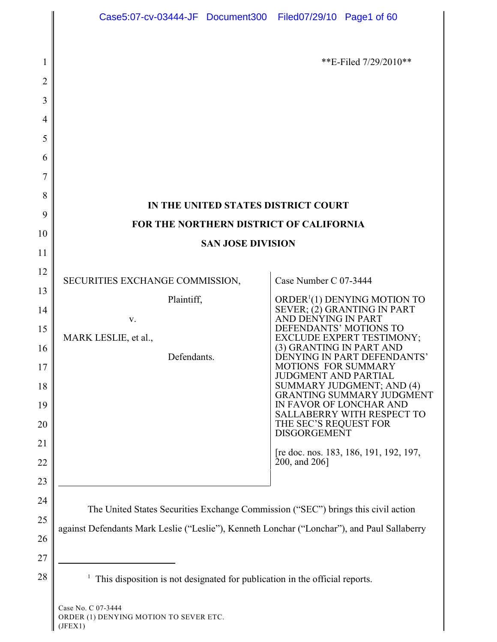| 1        |                                                                                             | **E-Filed $7/29/2010**$                                                    |  |  |  |
|----------|---------------------------------------------------------------------------------------------|----------------------------------------------------------------------------|--|--|--|
| 2        |                                                                                             |                                                                            |  |  |  |
| 3        |                                                                                             |                                                                            |  |  |  |
| 4        |                                                                                             |                                                                            |  |  |  |
| 5        |                                                                                             |                                                                            |  |  |  |
| 6        |                                                                                             |                                                                            |  |  |  |
| 7        |                                                                                             |                                                                            |  |  |  |
| 8        | IN THE UNITED STATES DISTRICT COURT                                                         |                                                                            |  |  |  |
| 9        | FOR THE NORTHERN DISTRICT OF CALIFORNIA                                                     |                                                                            |  |  |  |
| 10<br>11 | <b>SAN JOSE DIVISION</b>                                                                    |                                                                            |  |  |  |
| 12       |                                                                                             |                                                                            |  |  |  |
| 13       | SECURITIES EXCHANGE COMMISSION,                                                             | Case Number C 07-3444                                                      |  |  |  |
| 14       | Plaintiff,                                                                                  | ORDER <sup>1</sup> (1) DENYING MOTION TO<br>SEVER; (2) GRANTING IN PART    |  |  |  |
| 15       | V.                                                                                          | AND DENYING IN PART<br>DEFENDANTS' MOTIONS TO                              |  |  |  |
| 16       | MARK LESLIE, et al.,                                                                        | <b>EXCLUDE EXPERT TESTIMONY;</b><br>(3) GRANTING IN PART AND               |  |  |  |
|          | Defendants.                                                                                 | DENYING IN PART DEFENDANTS'<br><b>MOTIONS FOR SUMMARY</b>                  |  |  |  |
| 18       |                                                                                             | <b>JUDGMENT AND PARTIAL</b><br>SUMMARY JUDGMENT; AND (4)                   |  |  |  |
|          |                                                                                             | <b>GRANTING SUMMARY JUDGMENT</b><br>IN FAVOR OF LONCHAR AND                |  |  |  |
|          |                                                                                             | SALLABERRY WITH RESPECT TO<br>THE SEC'S REQUEST FOR<br><b>DISGORGEMENT</b> |  |  |  |
|          |                                                                                             | [re doc. nos. 183, 186, 191, 192, 197,                                     |  |  |  |
|          |                                                                                             | 200, and 206]                                                              |  |  |  |
|          |                                                                                             |                                                                            |  |  |  |
| 24       | The United States Securities Exchange Commission ("SEC") brings this civil action           |                                                                            |  |  |  |
| 25       | against Defendants Mark Leslie ("Leslie"), Kenneth Lonchar ("Lonchar"), and Paul Sallaberry |                                                                            |  |  |  |
| 26<br>27 |                                                                                             |                                                                            |  |  |  |
|          |                                                                                             |                                                                            |  |  |  |
|          | This disposition is not designated for publication in the official reports.                 |                                                                            |  |  |  |
|          | Case No. C 07-3444<br>ORDER (1) DENYING MOTION TO SEVER ETC.                                |                                                                            |  |  |  |

<sup>(</sup>JFEX1)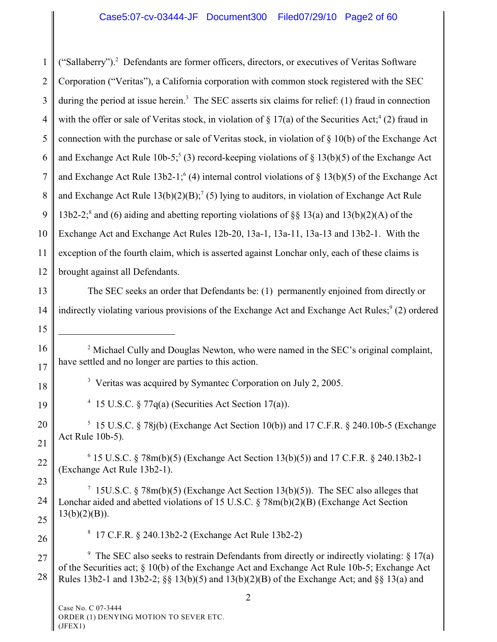1 2 3 4 5 6 7 8 9 10 11 12 13 14 15 16 17 18 19 20 21 22 23 24 25 26 27 28  $2^2$  Michael Cully and Douglas Newton, who were named in the SEC's original complaint, have settled and no longer are parties to this action. <sup>3</sup> Veritas was acquired by Symantec Corporation on July 2, 2005. <sup>4</sup> 15 U.S.C. § 77q(a) (Securities Act Section 17(a)).  $5$  15 U.S.C. § 78j(b) (Exchange Act Section 10(b)) and 17 C.F.R. § 240.10b-5 (Exchange Act Rule 10b-5).  $6$  15 U.S.C. § 78m(b)(5) (Exchange Act Section 13(b)(5)) and 17 C.F.R. § 240.13b2-1 (Exchange Act Rule 13b2-1). <sup>7</sup> 15U.S.C. § 78m(b)(5) (Exchange Act Section 13(b)(5)). The SEC also alleges that Lonchar aided and abetted violations of 15 U.S.C. § 78m(b)(2)(B) (Exchange Act Section  $13(b)(2)(B)$ ). 17 C.F.R. § 240.13b2-2 (Exchange Act Rule 13b2-2) <sup>8</sup> <sup>9</sup> The SEC also seeks to restrain Defendants from directly or indirectly violating:  $\S 17(a)$ of the Securities act; § 10(b) of the Exchange Act and Exchange Act Rule 10b-5; Exchange Act Rules 13b2-1 and 13b2-2; §§ 13(b)(5) and 13(b)(2)(B) of the Exchange Act; and §§ 13(a) and 2 Case No. C 07-3444 ORDER (1) DENYING MOTION TO SEVER ETC. ("Sallaberry").<sup>2</sup> Defendants are former officers, directors, or executives of Veritas Software Corporation ("Veritas"), a California corporation with common stock registered with the SEC during the period at issue herein.<sup>3</sup> The SEC asserts six claims for relief: (1) fraud in connection with the offer or sale of Veritas stock, in violation of  $\S 17(a)$  of the Securities Act;<sup>4</sup> (2) fraud in connection with the purchase or sale of Veritas stock, in violation of § 10(b) of the Exchange Act and Exchange Act Rule 10b-5;<sup>5</sup> (3) record-keeping violations of  $\S 13(b)(5)$  of the Exchange Act and Exchange Act Rule 13b2-1;<sup>6</sup> (4) internal control violations of  $\S 13(b)(5)$  of the Exchange Act and Exchange Act Rule  $13(b)(2)(B)$ ;<sup>7</sup> (5) lying to auditors, in violation of Exchange Act Rule 13b2-2;<sup>8</sup> and (6) aiding and abetting reporting violations of  $\S$ § 13(a) and 13(b)(2)(A) of the Exchange Act and Exchange Act Rules 12b-20, 13a-1, 13a-11, 13a-13 and 13b2-1. With the exception of the fourth claim, which is asserted against Lonchar only, each of these claims is brought against all Defendants. The SEC seeks an order that Defendants be: (1) permanently enjoined from directly or indirectly violating various provisions of the Exchange Act and Exchange Act Rules;<sup>9</sup> (2) ordered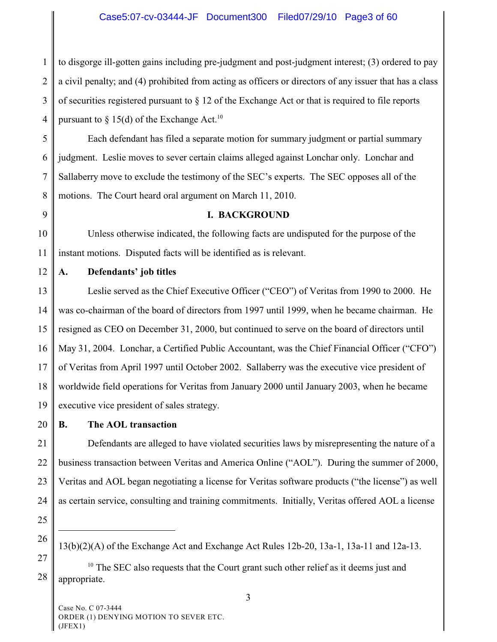# Case5:07-cv-03444-JF Document300 Filed07/29/10 Page3 of 60

1 2 3 4 to disgorge ill-gotten gains including pre-judgment and post-judgment interest; (3) ordered to pay a civil penalty; and (4) prohibited from acting as officers or directors of any issuer that has a class of securities registered pursuant to § 12 of the Exchange Act or that is required to file reports pursuant to  $\S$  15(d) of the Exchange Act.<sup>10</sup>

5 6 7 8 Each defendant has filed a separate motion for summary judgment or partial summary judgment. Leslie moves to sever certain claims alleged against Lonchar only. Lonchar and Sallaberry move to exclude the testimony of the SEC's experts. The SEC opposes all of the motions. The Court heard oral argument on March 11, 2010.

9

#### **I. BACKGROUND**

10 11 Unless otherwise indicated, the following facts are undisputed for the purpose of the instant motions. Disputed facts will be identified as is relevant.

12 **A. Defendants' job titles**

13 14 15 16 17 18 19 Leslie served as the Chief Executive Officer ("CEO") of Veritas from 1990 to 2000. He was co-chairman of the board of directors from 1997 until 1999, when he became chairman. He resigned as CEO on December 31, 2000, but continued to serve on the board of directors until May 31, 2004. Lonchar, a Certified Public Accountant, was the Chief Financial Officer ("CFO") of Veritas from April 1997 until October 2002. Sallaberry was the executive vice president of worldwide field operations for Veritas from January 2000 until January 2003, when he became executive vice president of sales strategy.

20 **B. The AOL transaction**

21 22 23 24 Defendants are alleged to have violated securities laws by misrepresenting the nature of a business transaction between Veritas and America Online ("AOL"). During the summer of 2000, Veritas and AOL began negotiating a license for Veritas software products ("the license") as well as certain service, consulting and training commitments. Initially, Veritas offered AOL a license

- 25
- 26 27

28  $10$  The SEC also requests that the Court grant such other relief as it deems just and appropriate.

<sup>13(</sup>b)(2)(A) of the Exchange Act and Exchange Act Rules 12b-20, 13a-1, 13a-11 and 12a-13.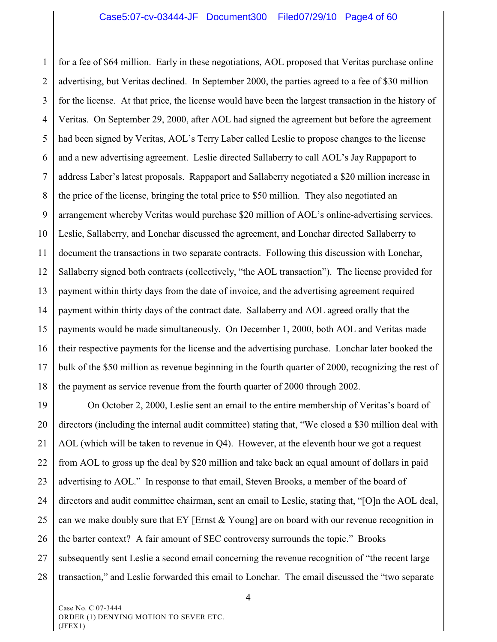1 2 3 4 5 6 7 8 9 10 11 12 13 14 15 16 17 18 for a fee of \$64 million. Early in these negotiations, AOL proposed that Veritas purchase online advertising, but Veritas declined. In September 2000, the parties agreed to a fee of \$30 million for the license. At that price, the license would have been the largest transaction in the history of Veritas. On September 29, 2000, after AOL had signed the agreement but before the agreement had been signed by Veritas, AOL's Terry Laber called Leslie to propose changes to the license and a new advertising agreement. Leslie directed Sallaberry to call AOL's Jay Rappaport to address Laber's latest proposals. Rappaport and Sallaberry negotiated a \$20 million increase in the price of the license, bringing the total price to \$50 million. They also negotiated an arrangement whereby Veritas would purchase \$20 million of AOL's online-advertising services. Leslie, Sallaberry, and Lonchar discussed the agreement, and Lonchar directed Sallaberry to document the transactions in two separate contracts. Following this discussion with Lonchar, Sallaberry signed both contracts (collectively, "the AOL transaction"). The license provided for payment within thirty days from the date of invoice, and the advertising agreement required payment within thirty days of the contract date. Sallaberry and AOL agreed orally that the payments would be made simultaneously. On December 1, 2000, both AOL and Veritas made their respective payments for the license and the advertising purchase. Lonchar later booked the bulk of the \$50 million as revenue beginning in the fourth quarter of 2000, recognizing the rest of the payment as service revenue from the fourth quarter of 2000 through 2002.

19 20 21 22 23 24 25 26 27 28 On October 2, 2000, Leslie sent an email to the entire membership of Veritas's board of directors (including the internal audit committee) stating that, "We closed a \$30 million deal with AOL (which will be taken to revenue in Q4). However, at the eleventh hour we got a request from AOL to gross up the deal by \$20 million and take back an equal amount of dollars in paid advertising to AOL." In response to that email, Steven Brooks, a member of the board of directors and audit committee chairman, sent an email to Leslie, stating that, "[O]n the AOL deal, can we make doubly sure that EY [Ernst  $&$  Young] are on board with our revenue recognition in the barter context? A fair amount of SEC controversy surrounds the topic." Brooks subsequently sent Leslie a second email concerning the revenue recognition of "the recent large transaction," and Leslie forwarded this email to Lonchar. The email discussed the "two separate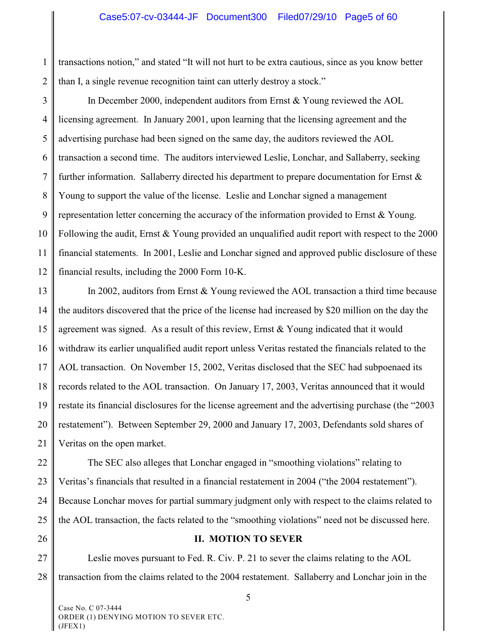1 2 transactions notion," and stated "It will not hurt to be extra cautious, since as you know better than I, a single revenue recognition taint can utterly destroy a stock."

3 4 5 6 7 8 9 10 11 12 In December 2000, independent auditors from Ernst & Young reviewed the AOL licensing agreement. In January 2001, upon learning that the licensing agreement and the advertising purchase had been signed on the same day, the auditors reviewed the AOL transaction a second time. The auditors interviewed Leslie, Lonchar, and Sallaberry, seeking further information. Sallaberry directed his department to prepare documentation for Ernst & Young to support the value of the license. Leslie and Lonchar signed a management representation letter concerning the accuracy of the information provided to Ernst & Young. Following the audit, Ernst & Young provided an unqualified audit report with respect to the 2000 financial statements. In 2001, Leslie and Lonchar signed and approved public disclosure of these financial results, including the 2000 Form 10-K.

13 14 15 16 17 18 19 20 21 In 2002, auditors from Ernst & Young reviewed the AOL transaction a third time because the auditors discovered that the price of the license had increased by \$20 million on the day the agreement was signed. As a result of this review, Ernst & Young indicated that it would withdraw its earlier unqualified audit report unless Veritas restated the financials related to the AOL transaction. On November 15, 2002, Veritas disclosed that the SEC had subpoenaed its records related to the AOL transaction. On January 17, 2003, Veritas announced that it would restate its financial disclosures for the license agreement and the advertising purchase (the "2003 restatement"). Between September 29, 2000 and January 17, 2003, Defendants sold shares of Veritas on the open market.

22 23 24 25 The SEC also alleges that Lonchar engaged in "smoothing violations" relating to Veritas's financials that resulted in a financial restatement in 2004 ("the 2004 restatement"). Because Lonchar moves for partial summary judgment only with respect to the claims related to the AOL transaction, the facts related to the "smoothing violations" need not be discussed here.

26

## **II. MOTION TO SEVER**

27 28 Leslie moves pursuant to Fed. R. Civ. P. 21 to sever the claims relating to the AOL transaction from the claims related to the 2004 restatement. Sallaberry and Lonchar join in the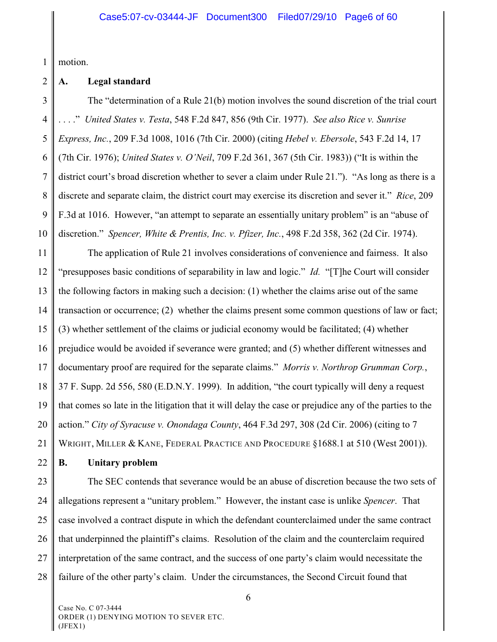1 motion.

#### 2 **A. Legal standard**

3 4 5 6 7 8 9 10 The "determination of a Rule 21(b) motion involves the sound discretion of the trial court . . . ." *United States v. Testa*, 548 F.2d 847, 856 (9th Cir. 1977). *See also Rice v. Sunrise Express, Inc.*, 209 F.3d 1008, 1016 (7th Cir. 2000) (citing *Hebel v. Ebersole*, 543 F.2d 14, 17 (7th Cir. 1976); *United States v. O'Neil*, 709 F.2d 361, 367 (5th Cir. 1983)) ("It is within the district court's broad discretion whether to sever a claim under Rule 21."). "As long as there is a discrete and separate claim, the district court may exercise its discretion and sever it." *Rice*, 209 F.3d at 1016. However, "an attempt to separate an essentially unitary problem" is an "abuse of discretion." *Spencer, White & Prentis, Inc. v. Pfizer, Inc.*, 498 F.2d 358, 362 (2d Cir. 1974).

11 12 13 14 15 16 17 18 19 20 21 The application of Rule 21 involves considerations of convenience and fairness. It also "presupposes basic conditions of separability in law and logic." *Id.* "[T]he Court will consider the following factors in making such a decision: (1) whether the claims arise out of the same transaction or occurrence; (2) whether the claims present some common questions of law or fact; (3) whether settlement of the claims or judicial economy would be facilitated; (4) whether prejudice would be avoided if severance were granted; and (5) whether different witnesses and documentary proof are required for the separate claims." *Morris v. Northrop Grumman Corp.*, 37 F. Supp. 2d 556, 580 (E.D.N.Y. 1999). In addition, "the court typically will deny a request that comes so late in the litigation that it will delay the case or prejudice any of the parties to the action." *City of Syracuse v. Onondaga County*, 464 F.3d 297, 308 (2d Cir. 2006) (citing to 7 WRIGHT, MILLER & KANE, FEDERAL PRACTICE AND PROCEDURE §1688.1 at 510 (West 2001)).

22 **B. Unitary problem**

23 24 25 26 27 28 The SEC contends that severance would be an abuse of discretion because the two sets of allegations represent a "unitary problem." However, the instant case is unlike *Spencer*. That case involved a contract dispute in which the defendant counterclaimed under the same contract that underpinned the plaintiff's claims. Resolution of the claim and the counterclaim required interpretation of the same contract, and the success of one party's claim would necessitate the failure of the other party's claim. Under the circumstances, the Second Circuit found that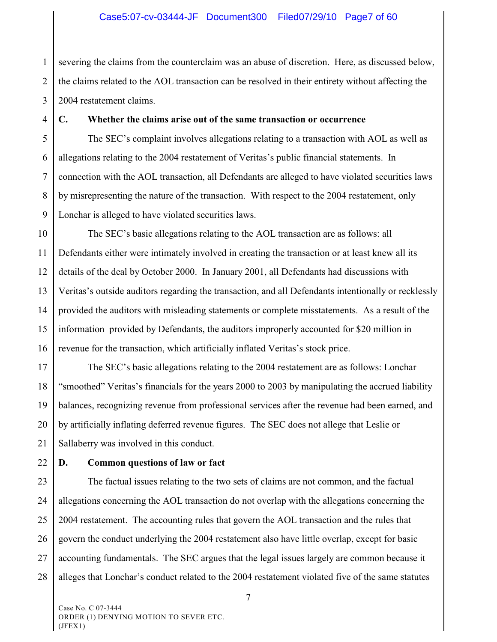#### Case5:07-cv-03444-JF Document300 Filed07/29/10 Page7 of 60

1 2 3 severing the claims from the counterclaim was an abuse of discretion. Here, as discussed below, the claims related to the AOL transaction can be resolved in their entirety without affecting the 2004 restatement claims.

4

#### **C. Whether the claims arise out of the same transaction or occurrence**

5 6 7 8 9 The SEC's complaint involves allegations relating to a transaction with AOL as well as allegations relating to the 2004 restatement of Veritas's public financial statements. In connection with the AOL transaction, all Defendants are alleged to have violated securities laws by misrepresenting the nature of the transaction. With respect to the 2004 restatement, only Lonchar is alleged to have violated securities laws.

10 11 12 13 14 15 16 The SEC's basic allegations relating to the AOL transaction are as follows: all Defendants either were intimately involved in creating the transaction or at least knew all its details of the deal by October 2000. In January 2001, all Defendants had discussions with Veritas's outside auditors regarding the transaction, and all Defendants intentionally or recklessly provided the auditors with misleading statements or complete misstatements. As a result of the information provided by Defendants, the auditors improperly accounted for \$20 million in revenue for the transaction, which artificially inflated Veritas's stock price.

17 18 19 20 21 The SEC's basic allegations relating to the 2004 restatement are as follows: Lonchar "smoothed" Veritas's financials for the years 2000 to 2003 by manipulating the accrued liability balances, recognizing revenue from professional services after the revenue had been earned, and by artificially inflating deferred revenue figures. The SEC does not allege that Leslie or Sallaberry was involved in this conduct.

22

#### **D. Common questions of law or fact**

23 24 25 26 27 28 The factual issues relating to the two sets of claims are not common, and the factual allegations concerning the AOL transaction do not overlap with the allegations concerning the 2004 restatement. The accounting rules that govern the AOL transaction and the rules that govern the conduct underlying the 2004 restatement also have little overlap, except for basic accounting fundamentals. The SEC argues that the legal issues largely are common because it alleges that Lonchar's conduct related to the 2004 restatement violated five of the same statutes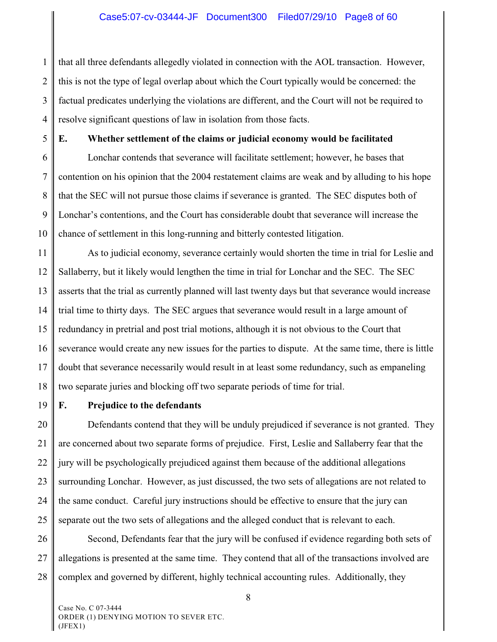1 2 3 4 that all three defendants allegedly violated in connection with the AOL transaction. However, this is not the type of legal overlap about which the Court typically would be concerned: the factual predicates underlying the violations are different, and the Court will not be required to resolve significant questions of law in isolation from those facts.

5 6

#### **E. Whether settlement of the claims or judicial economy would be facilitated**

7 8 9 10 Lonchar contends that severance will facilitate settlement; however, he bases that contention on his opinion that the 2004 restatement claims are weak and by alluding to his hope that the SEC will not pursue those claims if severance is granted. The SEC disputes both of Lonchar's contentions, and the Court has considerable doubt that severance will increase the chance of settlement in this long-running and bitterly contested litigation.

11 12 13 14 15 16 17 18 As to judicial economy, severance certainly would shorten the time in trial for Leslie and Sallaberry, but it likely would lengthen the time in trial for Lonchar and the SEC. The SEC asserts that the trial as currently planned will last twenty days but that severance would increase trial time to thirty days. The SEC argues that severance would result in a large amount of redundancy in pretrial and post trial motions, although it is not obvious to the Court that severance would create any new issues for the parties to dispute. At the same time, there is little doubt that severance necessarily would result in at least some redundancy, such as empaneling two separate juries and blocking off two separate periods of time for trial.

19

# **F. Prejudice to the defendants**

20 21 22 23 24 25 Defendants contend that they will be unduly prejudiced if severance is not granted. They are concerned about two separate forms of prejudice. First, Leslie and Sallaberry fear that the jury will be psychologically prejudiced against them because of the additional allegations surrounding Lonchar. However, as just discussed, the two sets of allegations are not related to the same conduct. Careful jury instructions should be effective to ensure that the jury can separate out the two sets of allegations and the alleged conduct that is relevant to each.

26 27 28 Second, Defendants fear that the jury will be confused if evidence regarding both sets of allegations is presented at the same time. They contend that all of the transactions involved are complex and governed by different, highly technical accounting rules. Additionally, they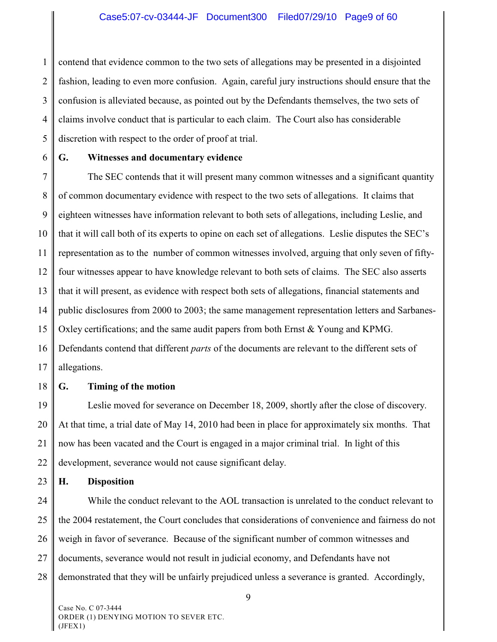1 2 3 4 5 contend that evidence common to the two sets of allegations may be presented in a disjointed fashion, leading to even more confusion. Again, careful jury instructions should ensure that the confusion is alleviated because, as pointed out by the Defendants themselves, the two sets of claims involve conduct that is particular to each claim. The Court also has considerable discretion with respect to the order of proof at trial.

6

# **G. Witnesses and documentary evidence**

7 8 9 10 11 12 13 14 15 16 17 The SEC contends that it will present many common witnesses and a significant quantity of common documentary evidence with respect to the two sets of allegations. It claims that eighteen witnesses have information relevant to both sets of allegations, including Leslie, and that it will call both of its experts to opine on each set of allegations. Leslie disputes the SEC's representation as to the number of common witnesses involved, arguing that only seven of fiftyfour witnesses appear to have knowledge relevant to both sets of claims. The SEC also asserts that it will present, as evidence with respect both sets of allegations, financial statements and public disclosures from 2000 to 2003; the same management representation letters and Sarbanes-Oxley certifications; and the same audit papers from both Ernst & Young and KPMG. Defendants contend that different *parts* of the documents are relevant to the different sets of allegations.

18

#### **G. Timing of the motion**

19 20 21 22 Leslie moved for severance on December 18, 2009, shortly after the close of discovery. At that time, a trial date of May 14, 2010 had been in place for approximately six months. That now has been vacated and the Court is engaged in a major criminal trial. In light of this development, severance would not cause significant delay.

23 **H. Disposition**

24 25 26 27 28 While the conduct relevant to the AOL transaction is unrelated to the conduct relevant to the 2004 restatement, the Court concludes that considerations of convenience and fairness do not weigh in favor of severance. Because of the significant number of common witnesses and documents, severance would not result in judicial economy, and Defendants have not demonstrated that they will be unfairly prejudiced unless a severance is granted. Accordingly,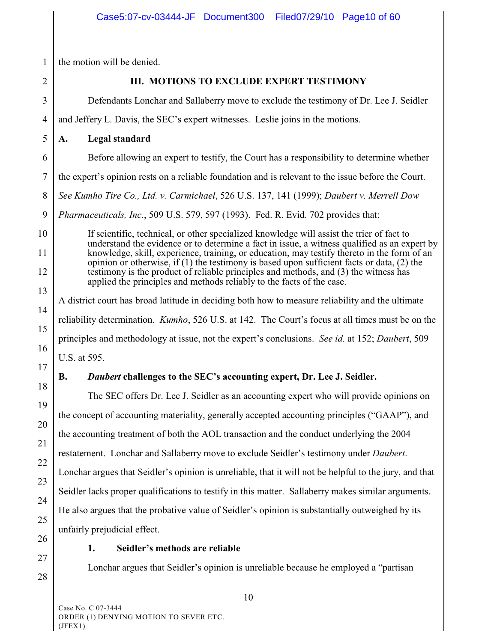1 the motion will be denied.

2

# **III. MOTIONS TO EXCLUDE EXPERT TESTIMONY**

3 4 5 6 7 8 9 10 11 12 13 14 15 16 17 18 19 20 Defendants Lonchar and Sallaberry move to exclude the testimony of Dr. Lee J. Seidler and Jeffery L. Davis, the SEC's expert witnesses. Leslie joins in the motions. **A. Legal standard** Before allowing an expert to testify, the Court has a responsibility to determine whether the expert's opinion rests on a reliable foundation and is relevant to the issue before the Court. *See Kumho Tire Co., Ltd. v. Carmichael*, 526 U.S. 137, 141 (1999); *Daubert v. Merrell Dow Pharmaceuticals, Inc.*, 509 U.S. 579, 597 (1993). Fed. R. Evid. 702 provides that: If scientific, technical, or other specialized knowledge will assist the trier of fact to understand the evidence or to determine a fact in issue, a witness qualified as an expert by knowledge, skill, experience, training, or education, may testify thereto in the form of an opinion or otherwise, if  $(1)$  the testimony is based upon sufficient facts or data,  $(2)$  the testimony is the product of reliable principles and methods, and (3) the witness has applied the principles and methods reliably to the facts of the case. A district court has broad latitude in deciding both how to measure reliability and the ultimate reliability determination. *Kumho*, 526 U.S. at 142. The Court's focus at all times must be on the principles and methodology at issue, not the expert's conclusions. *See id.* at 152; *Daubert*, 509 U.S. at 595. **B.** *Daubert* **challenges to the SEC's accounting expert, Dr. Lee J. Seidler.** The SEC offers Dr. Lee J. Seidler as an accounting expert who will provide opinions on the concept of accounting materiality, generally accepted accounting principles ("GAAP"), and the accounting treatment of both the AOL transaction and the conduct underlying the 2004

restatement. Lonchar and Sallaberry move to exclude Seidler's testimony under *Daubert*.

Lonchar argues that Seidler's opinion is unreliable, that it will not be helpful to the jury, and that Seidler lacks proper qualifications to testify in this matter. Sallaberry makes similar arguments.

He also argues that the probative value of Seidler's opinion is substantially outweighed by its

unfairly prejudicial effect.

21

22

23

24

25

26

27

28

# **1. Seidler's methods are reliable**

Lonchar argues that Seidler's opinion is unreliable because he employed a "partisan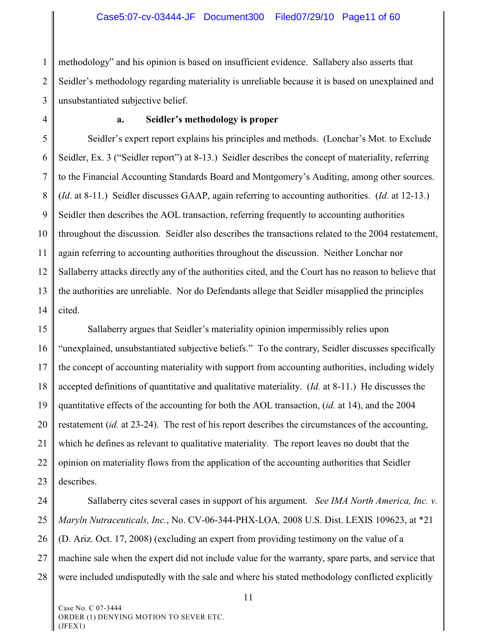#### Case5:07-cv-03444-JF Document300 Filed07/29/10 Page11 of 60

1 2 3 methodology" and his opinion is based on insufficient evidence. Sallabery also asserts that Seidler's methodology regarding materiality is unreliable because it is based on unexplained and unsubstantiated subjective belief.

4

#### **a. Seidler's methodology is proper**

5 6 7 8 9 10 11 12 13 14 Seidler's expert report explains his principles and methods. (Lonchar's Mot. to Exclude Seidler, Ex. 3 ("Seidler report") at 8-13.) Seidler describes the concept of materiality, referring to the Financial Accounting Standards Board and Montgomery's Auditing, among other sources. (*Id*. at 8-11.) Seidler discusses GAAP, again referring to accounting authorities. (*Id.* at 12-13.) Seidler then describes the AOL transaction, referring frequently to accounting authorities throughout the discussion. Seidler also describes the transactions related to the 2004 restatement, again referring to accounting authorities throughout the discussion. Neither Lonchar nor Sallaberry attacks directly any of the authorities cited, and the Court has no reason to believe that the authorities are unreliable. Nor do Defendants allege that Seidler misapplied the principles cited.

15 16 17 18 19 20 21 22 23 Sallaberry argues that Seidler's materiality opinion impermissibly relies upon "unexplained, unsubstantiated subjective beliefs." To the contrary, Seidler discusses specifically the concept of accounting materiality with support from accounting authorities, including widely accepted definitions of quantitative and qualitative materiality. (*Id.* at 8-11.) He discusses the quantitative effects of the accounting for both the AOL transaction, (*id.* at 14), and the 2004 restatement (*id.* at 23-24). The rest of his report describes the circumstances of the accounting, which he defines as relevant to qualitative materiality. The report leaves no doubt that the opinion on materiality flows from the application of the accounting authorities that Seidler describes.

24 25 26 27 28 Sallaberry cites several cases in support of his argument. *See IMA North America, Inc. v. Maryln Nutraceuticals, Inc.*, No. CV-06-344-PHX-LOA*,* 2008 U.S. Dist. LEXIS 109623, at \*21 (D. Ariz. Oct. 17, 2008) (excluding an expert from providing testimony on the value of a machine sale when the expert did not include value for the warranty, spare parts, and service that were included undisputedly with the sale and where his stated methodology conflicted explicitly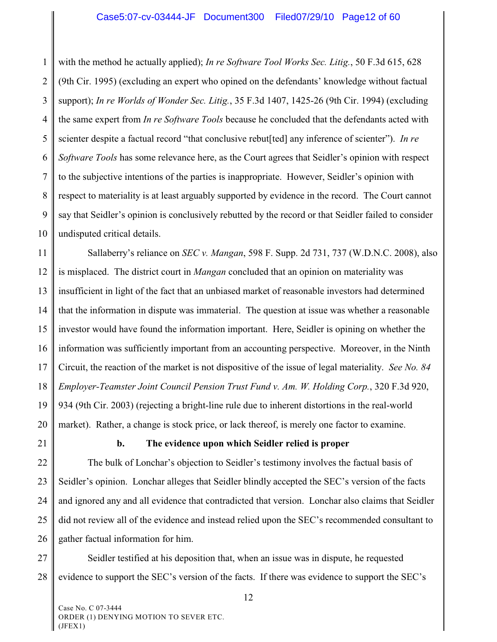1 2 3 4 5 6 7 8 9 10 with the method he actually applied); *In re Software Tool Works Sec. Litig.*, 50 F.3d 615, 628 (9th Cir. 1995) (excluding an expert who opined on the defendants' knowledge without factual support); *In re Worlds of Wonder Sec. Litig.*, 35 F.3d 1407, 1425-26 (9th Cir. 1994) (excluding the same expert from *In re Software Tools* because he concluded that the defendants acted with scienter despite a factual record "that conclusive rebut[ted] any inference of scienter"). *In re Software Tools* has some relevance here, as the Court agrees that Seidler's opinion with respect to the subjective intentions of the parties is inappropriate. However, Seidler's opinion with respect to materiality is at least arguably supported by evidence in the record. The Court cannot say that Seidler's opinion is conclusively rebutted by the record or that Seidler failed to consider undisputed critical details.

11 12 13 14 15 16 17 18 19 20 Sallaberry's reliance on *SEC v. Mangan*, 598 F. Supp. 2d 731, 737 (W.D.N.C. 2008), also is misplaced. The district court in *Mangan* concluded that an opinion on materiality was insufficient in light of the fact that an unbiased market of reasonable investors had determined that the information in dispute was immaterial. The question at issue was whether a reasonable investor would have found the information important. Here, Seidler is opining on whether the information was sufficiently important from an accounting perspective. Moreover, in the Ninth Circuit, the reaction of the market is not dispositive of the issue of legal materiality. *See No. 84 Employer-Teamster Joint Council Pension Trust Fund v. Am. W. Holding Corp.*, 320 F.3d 920, 934 (9th Cir. 2003) (rejecting a bright-line rule due to inherent distortions in the real-world market). Rather, a change is stock price, or lack thereof, is merely one factor to examine.

21

# **b. The evidence upon which Seidler relied is proper**

22 23 24 25 26 The bulk of Lonchar's objection to Seidler's testimony involves the factual basis of Seidler's opinion. Lonchar alleges that Seidler blindly accepted the SEC's version of the facts and ignored any and all evidence that contradicted that version. Lonchar also claims that Seidler did not review all of the evidence and instead relied upon the SEC's recommended consultant to gather factual information for him.

27 28 Seidler testified at his deposition that, when an issue was in dispute, he requested evidence to support the SEC's version of the facts. If there was evidence to support the SEC's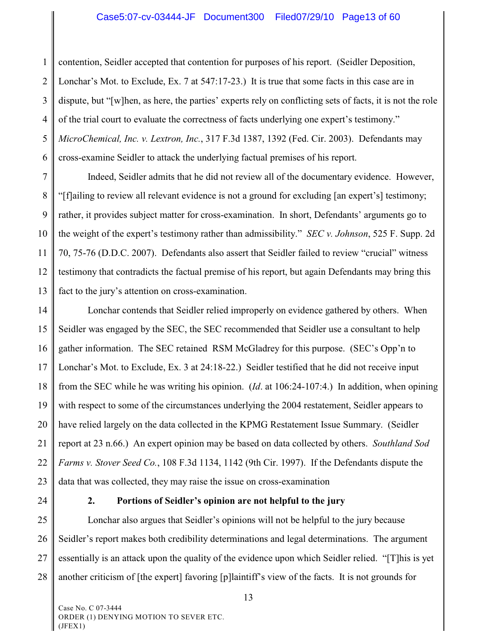1 2 3 4 5 6 contention, Seidler accepted that contention for purposes of his report. (Seidler Deposition, Lonchar's Mot. to Exclude, Ex. 7 at 547:17-23.) It is true that some facts in this case are in dispute, but "[w]hen, as here, the parties' experts rely on conflicting sets of facts, it is not the role of the trial court to evaluate the correctness of facts underlying one expert's testimony." *MicroChemical, Inc. v. Lextron, Inc.*, 317 F.3d 1387, 1392 (Fed. Cir. 2003). Defendants may cross-examine Seidler to attack the underlying factual premises of his report.

7 8 9 10 11 12 13 Indeed, Seidler admits that he did not review all of the documentary evidence. However, "[f]ailing to review all relevant evidence is not a ground for excluding [an expert's] testimony; rather, it provides subject matter for cross-examination. In short, Defendants' arguments go to the weight of the expert's testimony rather than admissibility." *SEC v. Johnson*, 525 F. Supp. 2d 70, 75-76 (D.D.C. 2007). Defendants also assert that Seidler failed to review "crucial" witness testimony that contradicts the factual premise of his report, but again Defendants may bring this fact to the jury's attention on cross-examination.

14 15 16 17 18 19 20 21 22 23 Lonchar contends that Seidler relied improperly on evidence gathered by others. When Seidler was engaged by the SEC, the SEC recommended that Seidler use a consultant to help gather information. The SEC retained RSM McGladrey for this purpose. (SEC's Opp'n to Lonchar's Mot. to Exclude, Ex. 3 at 24:18-22.) Seidler testified that he did not receive input from the SEC while he was writing his opinion. (*Id*. at 106:24-107:4.) In addition, when opining with respect to some of the circumstances underlying the 2004 restatement, Seidler appears to have relied largely on the data collected in the KPMG Restatement Issue Summary. (Seidler report at 23 n.66.) An expert opinion may be based on data collected by others. *Southland Sod Farms v. Stover Seed Co.*, 108 F.3d 1134, 1142 (9th Cir. 1997). If the Defendants dispute the data that was collected, they may raise the issue on cross-examination

24

## **2. Portions of Seidler's opinion are not helpful to the jury**

25 26 27 28 Lonchar also argues that Seidler's opinions will not be helpful to the jury because Seidler's report makes both credibility determinations and legal determinations. The argument essentially is an attack upon the quality of the evidence upon which Seidler relied. "[T]his is yet another criticism of [the expert] favoring [p]laintiff's view of the facts. It is not grounds for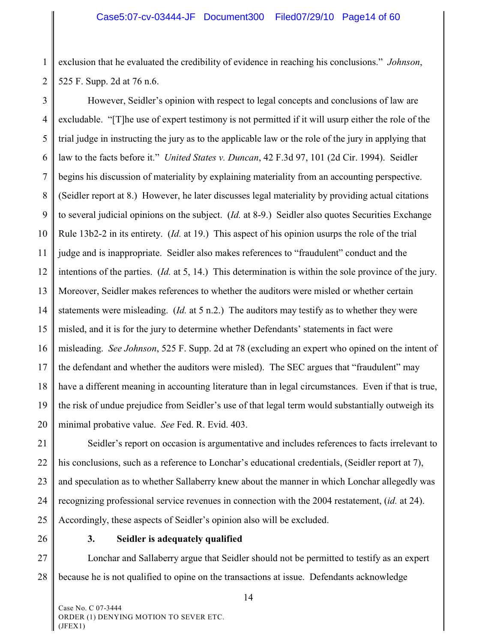1 2 exclusion that he evaluated the credibility of evidence in reaching his conclusions." *Johnson*, 525 F. Supp. 2d at 76 n.6.

3 4 5 6 7 8 9 10 11 12 13 14 15 16 17 18 19 20 However, Seidler's opinion with respect to legal concepts and conclusions of law are excludable. "[T]he use of expert testimony is not permitted if it will usurp either the role of the trial judge in instructing the jury as to the applicable law or the role of the jury in applying that law to the facts before it." *United States v. Duncan*, 42 F.3d 97, 101 (2d Cir. 1994). Seidler begins his discussion of materiality by explaining materiality from an accounting perspective. (Seidler report at 8.) However, he later discusses legal materiality by providing actual citations to several judicial opinions on the subject. (*Id.* at 8-9.) Seidler also quotes Securities Exchange Rule 13b2-2 in its entirety. (*Id.* at 19.) This aspect of his opinion usurps the role of the trial judge and is inappropriate. Seidler also makes references to "fraudulent" conduct and the intentions of the parties. (*Id.* at 5, 14.) This determination is within the sole province of the jury. Moreover, Seidler makes references to whether the auditors were misled or whether certain statements were misleading. (*Id.* at 5 n.2.) The auditors may testify as to whether they were misled, and it is for the jury to determine whether Defendants' statements in fact were misleading. *See Johnson*, 525 F. Supp. 2d at 78 (excluding an expert who opined on the intent of the defendant and whether the auditors were misled). The SEC argues that "fraudulent" may have a different meaning in accounting literature than in legal circumstances. Even if that is true, the risk of undue prejudice from Seidler's use of that legal term would substantially outweigh its minimal probative value. *See* Fed. R. Evid. 403.

21 22 23 24 25 Seidler's report on occasion is argumentative and includes references to facts irrelevant to his conclusions, such as a reference to Lonchar's educational credentials, (Seidler report at 7), and speculation as to whether Sallaberry knew about the manner in which Lonchar allegedly was recognizing professional service revenues in connection with the 2004 restatement, (*id.* at 24). Accordingly, these aspects of Seidler's opinion also will be excluded.

26

#### **3. Seidler is adequately qualified**

27 28 Lonchar and Sallaberry argue that Seidler should not be permitted to testify as an expert because he is not qualified to opine on the transactions at issue. Defendants acknowledge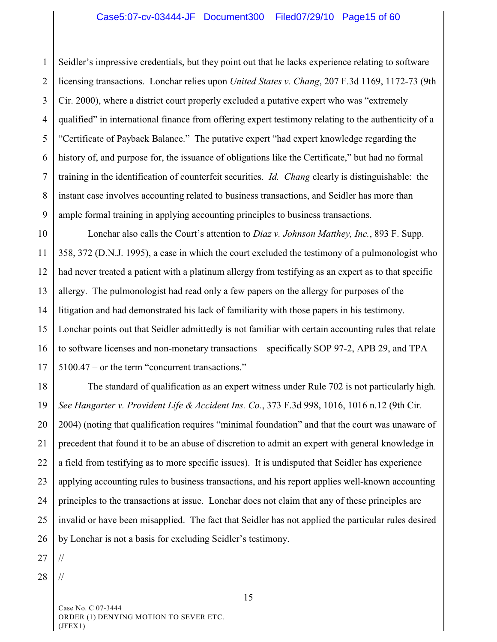1 2 3 4 5 6 7 8 9 Seidler's impressive credentials, but they point out that he lacks experience relating to software licensing transactions. Lonchar relies upon *United States v. Chang*, 207 F.3d 1169, 1172-73 (9th Cir. 2000), where a district court properly excluded a putative expert who was "extremely qualified" in international finance from offering expert testimony relating to the authenticity of a "Certificate of Payback Balance." The putative expert "had expert knowledge regarding the history of, and purpose for, the issuance of obligations like the Certificate," but had no formal training in the identification of counterfeit securities. *Id. Chang* clearly is distinguishable: the instant case involves accounting related to business transactions, and Seidler has more than ample formal training in applying accounting principles to business transactions.

10 11 12 13 14 15 16 17 Lonchar also calls the Court's attention to *Diaz v. Johnson Matthey, Inc.*, 893 F. Supp. 358, 372 (D.N.J. 1995), a case in which the court excluded the testimony of a pulmonologist who had never treated a patient with a platinum allergy from testifying as an expert as to that specific allergy. The pulmonologist had read only a few papers on the allergy for purposes of the litigation and had demonstrated his lack of familiarity with those papers in his testimony. Lonchar points out that Seidler admittedly is not familiar with certain accounting rules that relate to software licenses and non-monetary transactions – specifically SOP 97-2, APB 29, and TPA 5100.47 – or the term "concurrent transactions."

18 19 20 21 22 23 24 25 26 The standard of qualification as an expert witness under Rule 702 is not particularly high. *See Hangarter v. Provident Life & Accident Ins. Co.*, 373 F.3d 998, 1016, 1016 n.12 (9th Cir. 2004) (noting that qualification requires "minimal foundation" and that the court was unaware of precedent that found it to be an abuse of discretion to admit an expert with general knowledge in a field from testifying as to more specific issues). It is undisputed that Seidler has experience applying accounting rules to business transactions, and his report applies well-known accounting principles to the transactions at issue. Lonchar does not claim that any of these principles are invalid or have been misapplied. The fact that Seidler has not applied the particular rules desired by Lonchar is not a basis for excluding Seidler's testimony.

27 //

28 //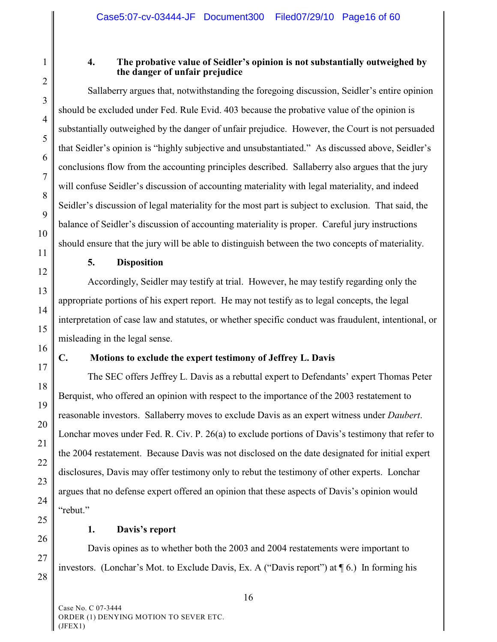1

2

3

4

5

6

7

8

9

10

11

12

13

14

15

16

17

18

19

20

21

22

23

24

25

26

27

28

#### **4. The probative value of Seidler's opinion is not substantially outweighed by the danger of unfair prejudice**

Sallaberry argues that, notwithstanding the foregoing discussion, Seidler's entire opinion should be excluded under Fed. Rule Evid. 403 because the probative value of the opinion is substantially outweighed by the danger of unfair prejudice. However, the Court is not persuaded that Seidler's opinion is "highly subjective and unsubstantiated." As discussed above, Seidler's conclusions flow from the accounting principles described. Sallaberry also argues that the jury will confuse Seidler's discussion of accounting materiality with legal materiality, and indeed Seidler's discussion of legal materiality for the most part is subject to exclusion. That said, the balance of Seidler's discussion of accounting materiality is proper. Careful jury instructions should ensure that the jury will be able to distinguish between the two concepts of materiality.

### **5. Disposition**

Accordingly, Seidler may testify at trial. However, he may testify regarding only the appropriate portions of his expert report. He may not testify as to legal concepts, the legal interpretation of case law and statutes, or whether specific conduct was fraudulent, intentional, or misleading in the legal sense.

# **C. Motions to exclude the expert testimony of Jeffrey L. Davis**

The SEC offers Jeffrey L. Davis as a rebuttal expert to Defendants' expert Thomas Peter Berquist, who offered an opinion with respect to the importance of the 2003 restatement to reasonable investors. Sallaberry moves to exclude Davis as an expert witness under *Daubert*. Lonchar moves under Fed. R. Civ. P. 26(a) to exclude portions of Davis's testimony that refer to the 2004 restatement. Because Davis was not disclosed on the date designated for initial expert disclosures, Davis may offer testimony only to rebut the testimony of other experts. Lonchar argues that no defense expert offered an opinion that these aspects of Davis's opinion would "rebut."

**1. Davis's report**

Davis opines as to whether both the 2003 and 2004 restatements were important to investors. (Lonchar's Mot. to Exclude Davis, Ex. A ("Davis report") at ¶ 6.) In forming his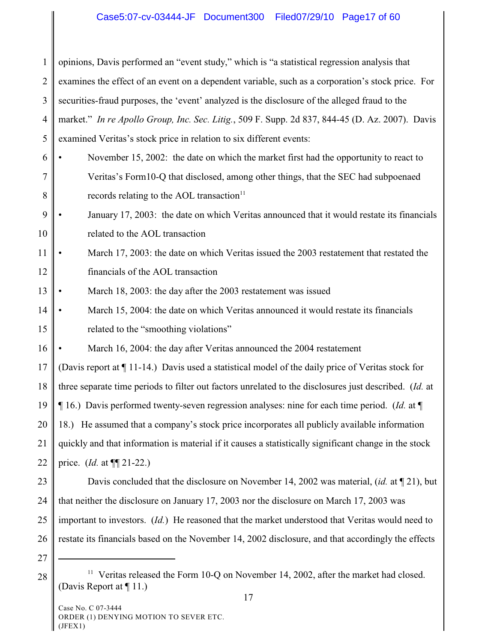# Case5:07-cv-03444-JF Document300 Filed07/29/10 Page17 of 60

1 2 3 4 5 opinions, Davis performed an "event study," which is "a statistical regression analysis that examines the effect of an event on a dependent variable, such as a corporation's stock price. For securities-fraud purposes, the 'event' analyzed is the disclosure of the alleged fraud to the market." *In re Apollo Group, Inc. Sec. Litig.*, 509 F. Supp. 2d 837, 844-45 (D. Az. 2007). Davis examined Veritas's stock price in relation to six different events:

- 6 7 8 November 15, 2002: the date on which the market first had the opportunity to react to Veritas's Form10-Q that disclosed, among other things, that the SEC had subpoenaed records relating to the AOL transaction $11$
- 9 10 • January 17, 2003: the date on which Veritas announced that it would restate its financials related to the AOL transaction

11 12 March 17, 2003: the date on which Veritas issued the 2003 restatement that restated the financials of the AOL transaction

- 13 March 18, 2003: the day after the 2003 restatement was issued
- 14 15 • March 15, 2004: the date on which Veritas announced it would restate its financials related to the "smoothing violations"

16 March 16, 2004: the day after Veritas announced the 2004 restatement

17 18 19 20 21 22 (Davis report at ¶ 11-14.) Davis used a statistical model of the daily price of Veritas stock for three separate time periods to filter out factors unrelated to the disclosures just described. (*Id.* at ¶ 16.) Davis performed twenty-seven regression analyses: nine for each time period. (*Id.* at ¶ 18.) He assumed that a company's stock price incorporates all publicly available information quickly and that information is material if it causes a statistically significant change in the stock price. (*Id.* at ¶¶ 21-22.)

23 24 25 26 Davis concluded that the disclosure on November 14, 2002 was material, (*id.* at ¶ 21), but that neither the disclosure on January 17, 2003 nor the disclosure on March 17, 2003 was important to investors. (*Id.*) He reasoned that the market understood that Veritas would need to restate its financials based on the November 14, 2002 disclosure, and that accordingly the effects

27

 $28$   $\parallel$  <sup>11</sup> Veritas released the Form 10-Q on November 14, 2002, after the market had closed. (Davis Report at ¶ 11.)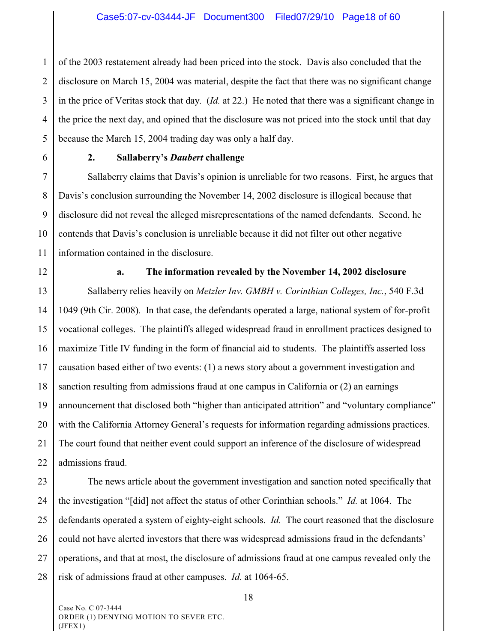1 2 3 4 5 of the 2003 restatement already had been priced into the stock. Davis also concluded that the disclosure on March 15, 2004 was material, despite the fact that there was no significant change in the price of Veritas stock that day. (*Id.* at 22.) He noted that there was a significant change in the price the next day, and opined that the disclosure was not priced into the stock until that day because the March 15, 2004 trading day was only a half day.

6

#### **2. Sallaberry's** *Daubert* **challenge**

7 8 9 10 11 Sallaberry claims that Davis's opinion is unreliable for two reasons. First, he argues that Davis's conclusion surrounding the November 14, 2002 disclosure is illogical because that disclosure did not reveal the alleged misrepresentations of the named defendants. Second, he contends that Davis's conclusion is unreliable because it did not filter out other negative information contained in the disclosure.

12

### **a. The information revealed by the November 14, 2002 disclosure**

13 14 15 16 17 18 19 20 21 22 Sallaberry relies heavily on *Metzler Inv. GMBH v. Corinthian Colleges, Inc.*, 540 F.3d 1049 (9th Cir. 2008). In that case, the defendants operated a large, national system of for-profit vocational colleges. The plaintiffs alleged widespread fraud in enrollment practices designed to maximize Title IV funding in the form of financial aid to students. The plaintiffs asserted loss causation based either of two events: (1) a news story about a government investigation and sanction resulting from admissions fraud at one campus in California or (2) an earnings announcement that disclosed both "higher than anticipated attrition" and "voluntary compliance" with the California Attorney General's requests for information regarding admissions practices. The court found that neither event could support an inference of the disclosure of widespread admissions fraud.

23 24 25 26 27 28 The news article about the government investigation and sanction noted specifically that the investigation "[did] not affect the status of other Corinthian schools." *Id.* at 1064. The defendants operated a system of eighty-eight schools. *Id.* The court reasoned that the disclosure could not have alerted investors that there was widespread admissions fraud in the defendants' operations, and that at most, the disclosure of admissions fraud at one campus revealed only the risk of admissions fraud at other campuses. *Id.* at 1064-65.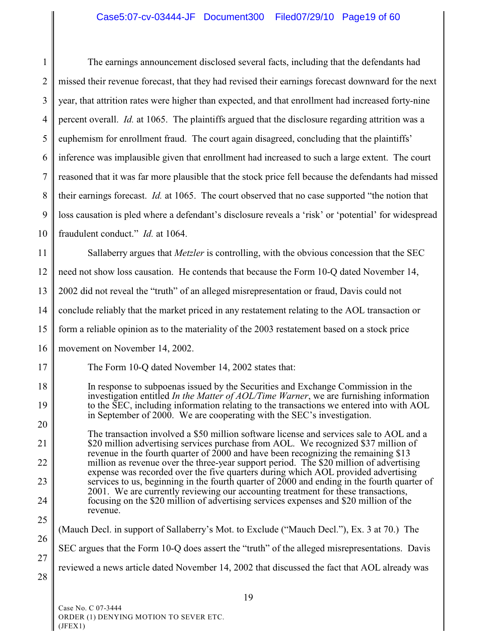# Case5:07-cv-03444-JF Document300 Filed07/29/10 Page19 of 60

| $\mathbf{1}$                                                                 | The earnings announcement disclosed several facts, including that the defendants had                                                                                                      |  |  |  |
|------------------------------------------------------------------------------|-------------------------------------------------------------------------------------------------------------------------------------------------------------------------------------------|--|--|--|
| $\overline{2}$                                                               | missed their revenue forecast, that they had revised their earnings forecast downward for the next                                                                                        |  |  |  |
| 3                                                                            | year, that attrition rates were higher than expected, and that enrollment had increased forty-nine                                                                                        |  |  |  |
| $\overline{4}$                                                               | percent overall. <i>Id.</i> at 1065. The plaintiffs argued that the disclosure regarding attrition was a                                                                                  |  |  |  |
| 5                                                                            | euphemism for enrollment fraud. The court again disagreed, concluding that the plaintiffs'                                                                                                |  |  |  |
| 6                                                                            | inference was implausible given that enrollment had increased to such a large extent. The court                                                                                           |  |  |  |
| $\tau$                                                                       | reasoned that it was far more plausible that the stock price fell because the defendants had missed                                                                                       |  |  |  |
| 8                                                                            | their earnings forecast. <i>Id.</i> at 1065. The court observed that no case supported "the notion that                                                                                   |  |  |  |
| 9                                                                            | loss causation is pled where a defendant's disclosure reveals a 'risk' or 'potential' for widespread                                                                                      |  |  |  |
| 10                                                                           | fraudulent conduct." <i>Id.</i> at 1064.                                                                                                                                                  |  |  |  |
| 11                                                                           | Sallaberry argues that <i>Metzler</i> is controlling, with the obvious concession that the SEC                                                                                            |  |  |  |
| 12                                                                           | need not show loss causation. He contends that because the Form 10-Q dated November 14,                                                                                                   |  |  |  |
| 13                                                                           | 2002 did not reveal the "truth" of an alleged misrepresentation or fraud, Davis could not                                                                                                 |  |  |  |
| 14                                                                           | conclude reliably that the market priced in any restatement relating to the AOL transaction or                                                                                            |  |  |  |
| 15                                                                           | form a reliable opinion as to the materiality of the 2003 restatement based on a stock price                                                                                              |  |  |  |
| 16                                                                           | movement on November 14, 2002.                                                                                                                                                            |  |  |  |
| 17                                                                           | The Form 10-Q dated November 14, 2002 states that:                                                                                                                                        |  |  |  |
| 18                                                                           | In response to subpoenas issued by the Securities and Exchange Commission in the                                                                                                          |  |  |  |
| 19                                                                           | investigation entitled <i>In the Matter of AOL/Time Warner</i> , we are furnishing information<br>to the SEC, including information relating to the transactions we entered into with AOL |  |  |  |
| in September of 2000. We are cooperating with the SEC's investigation.<br>20 | The transaction involved a \$50 million software license and services sale to AOL and a                                                                                                   |  |  |  |
| 21                                                                           | \$20 million advertising services purchase from AOL. We recognized \$37 million of<br>revenue in the fourth quarter of $2000$ and have been recognizing the remaining \$13                |  |  |  |
| 22                                                                           | million as revenue over the three-year support period. The \$20 million of advertising<br>expense was recorded over the five quarters during which AOL provided advertising               |  |  |  |
| 23                                                                           | services to us, beginning in the fourth quarter of 2000 and ending in the fourth quarter of<br>2001. We are currently reviewing our accounting treatment for these transactions,          |  |  |  |
| 24                                                                           | focusing on the \$20 million of advertising services expenses and \$20 million of the<br>revenue.                                                                                         |  |  |  |
| 25                                                                           | (Mauch Decl. in support of Sallaberry's Mot. to Exclude ("Mauch Decl."), Ex. 3 at 70.) The                                                                                                |  |  |  |
| 26                                                                           | SEC argues that the Form 10-Q does assert the "truth" of the alleged misrepresentations. Davis                                                                                            |  |  |  |
| 27<br>28                                                                     | reviewed a news article dated November 14, 2002 that discussed the fact that AOL already was                                                                                              |  |  |  |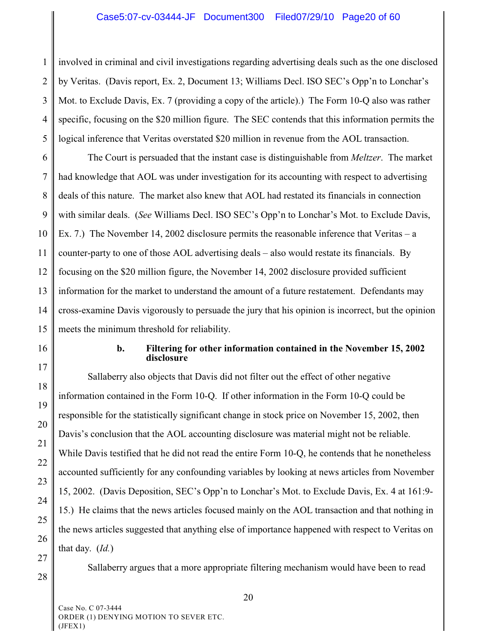1 2 3 4 5 involved in criminal and civil investigations regarding advertising deals such as the one disclosed by Veritas. (Davis report, Ex. 2, Document 13; Williams Decl. ISO SEC's Opp'n to Lonchar's Mot. to Exclude Davis, Ex. 7 (providing a copy of the article).) The Form 10-Q also was rather specific, focusing on the \$20 million figure. The SEC contends that this information permits the logical inference that Veritas overstated \$20 million in revenue from the AOL transaction.

6 7 8 9 10 11 12 13 14 15 The Court is persuaded that the instant case is distinguishable from *Meltzer*. The market had knowledge that AOL was under investigation for its accounting with respect to advertising deals of this nature. The market also knew that AOL had restated its financials in connection with similar deals. (*See* Williams Decl. ISO SEC's Opp'n to Lonchar's Mot. to Exclude Davis, Ex. 7.) The November 14, 2002 disclosure permits the reasonable inference that Veritas – a counter-party to one of those AOL advertising deals – also would restate its financials. By focusing on the \$20 million figure, the November 14, 2002 disclosure provided sufficient information for the market to understand the amount of a future restatement. Defendants may cross-examine Davis vigorously to persuade the jury that his opinion is incorrect, but the opinion meets the minimum threshold for reliability.

16 17

18

19

20

21

22

23

24

25

26

27

## **b. Filtering for other information contained in the November 15, 2002 disclosure**

Sallaberry also objects that Davis did not filter out the effect of other negative information contained in the Form 10-Q. If other information in the Form 10-Q could be responsible for the statistically significant change in stock price on November 15, 2002, then Davis's conclusion that the AOL accounting disclosure was material might not be reliable. While Davis testified that he did not read the entire Form 10-Q, he contends that he nonetheless accounted sufficiently for any confounding variables by looking at news articles from November 15, 2002. (Davis Deposition, SEC's Opp'n to Lonchar's Mot. to Exclude Davis, Ex. 4 at 161:9- 15.) He claims that the news articles focused mainly on the AOL transaction and that nothing in the news articles suggested that anything else of importance happened with respect to Veritas on that day. (*Id.*)

Sallaberry argues that a more appropriate filtering mechanism would have been to read

28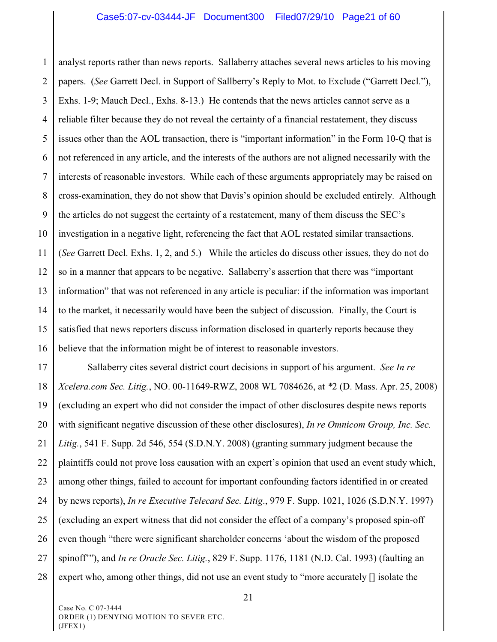1 2 3 4 5 6 7 8 9 10 11 12 13 14 15 16 analyst reports rather than news reports. Sallaberry attaches several news articles to his moving papers. (*See* Garrett Decl. in Support of Sallberry's Reply to Mot. to Exclude ("Garrett Decl."), Exhs. 1-9; Mauch Decl., Exhs. 8-13.) He contends that the news articles cannot serve as a reliable filter because they do not reveal the certainty of a financial restatement, they discuss issues other than the AOL transaction, there is "important information" in the Form 10-Q that is not referenced in any article, and the interests of the authors are not aligned necessarily with the interests of reasonable investors. While each of these arguments appropriately may be raised on cross-examination, they do not show that Davis's opinion should be excluded entirely. Although the articles do not suggest the certainty of a restatement, many of them discuss the SEC's investigation in a negative light, referencing the fact that AOL restated similar transactions. (*See* Garrett Decl. Exhs. 1, 2, and 5.) While the articles do discuss other issues, they do not do so in a manner that appears to be negative. Sallaberry's assertion that there was "important information" that was not referenced in any article is peculiar: if the information was important to the market, it necessarily would have been the subject of discussion. Finally, the Court is satisfied that news reporters discuss information disclosed in quarterly reports because they believe that the information might be of interest to reasonable investors.

17 18 19 20 21 22 23 24 25 26 27 28 Sallaberry cites several district court decisions in support of his argument. *See In re Xcelera.com Sec. Litig.*, NO. 00-11649-RWZ, 2008 WL 7084626, at *\**2 (D. Mass. Apr. 25, 2008) (excluding an expert who did not consider the impact of other disclosures despite news reports with significant negative discussion of these other disclosures), *In re Omnicom Group, Inc. Sec. Litig.*, 541 F. Supp. 2d 546, 554 (S.D.N.Y. 2008) (granting summary judgment because the plaintiffs could not prove loss causation with an expert's opinion that used an event study which, among other things, failed to account for important confounding factors identified in or created by news reports), *In re Executive Telecard Sec. Litig*., 979 F. Supp. 1021, 1026 (S.D.N.Y. 1997) (excluding an expert witness that did not consider the effect of a company's proposed spin-off even though "there were significant shareholder concerns 'about the wisdom of the proposed spinoff'"), and *In re Oracle Sec. Litig.*, 829 F. Supp. 1176, 1181 (N.D. Cal. 1993) (faulting an expert who, among other things, did not use an event study to "more accurately [] isolate the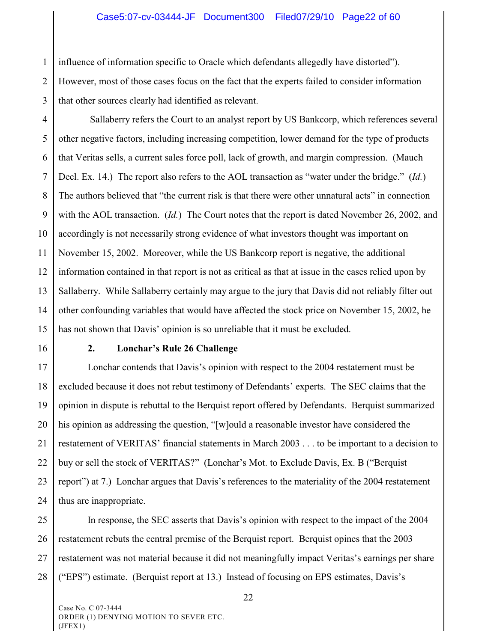#### Case5:07-cv-03444-JF Document300 Filed07/29/10 Page22 of 60

1 2 3 influence of information specific to Oracle which defendants allegedly have distorted"). However, most of those cases focus on the fact that the experts failed to consider information that other sources clearly had identified as relevant.

4 5 6 7 8 9 10 11 12 13 14 15 Sallaberry refers the Court to an analyst report by US Bankcorp, which references several other negative factors, including increasing competition, lower demand for the type of products that Veritas sells, a current sales force poll, lack of growth, and margin compression. (Mauch Decl. Ex. 14.) The report also refers to the AOL transaction as "water under the bridge." (*Id.*) The authors believed that "the current risk is that there were other unnatural acts" in connection with the AOL transaction. (*Id.*) The Court notes that the report is dated November 26, 2002, and accordingly is not necessarily strong evidence of what investors thought was important on November 15, 2002. Moreover, while the US Bankcorp report is negative, the additional information contained in that report is not as critical as that at issue in the cases relied upon by Sallaberry. While Sallaberry certainly may argue to the jury that Davis did not reliably filter out other confounding variables that would have affected the stock price on November 15, 2002, he has not shown that Davis' opinion is so unreliable that it must be excluded.

16

#### **2. Lonchar's Rule 26 Challenge**

17 18 19 20 21 22 23 24 Lonchar contends that Davis's opinion with respect to the 2004 restatement must be excluded because it does not rebut testimony of Defendants' experts. The SEC claims that the opinion in dispute is rebuttal to the Berquist report offered by Defendants. Berquist summarized his opinion as addressing the question, "[w]ould a reasonable investor have considered the restatement of VERITAS' financial statements in March 2003 . . . to be important to a decision to buy or sell the stock of VERITAS?" (Lonchar's Mot. to Exclude Davis, Ex. B ("Berquist report") at 7.) Lonchar argues that Davis's references to the materiality of the 2004 restatement thus are inappropriate.

25 26 27 28 In response, the SEC asserts that Davis's opinion with respect to the impact of the 2004 restatement rebuts the central premise of the Berquist report. Berquist opines that the 2003 restatement was not material because it did not meaningfully impact Veritas's earnings per share ("EPS") estimate. (Berquist report at 13.) Instead of focusing on EPS estimates, Davis's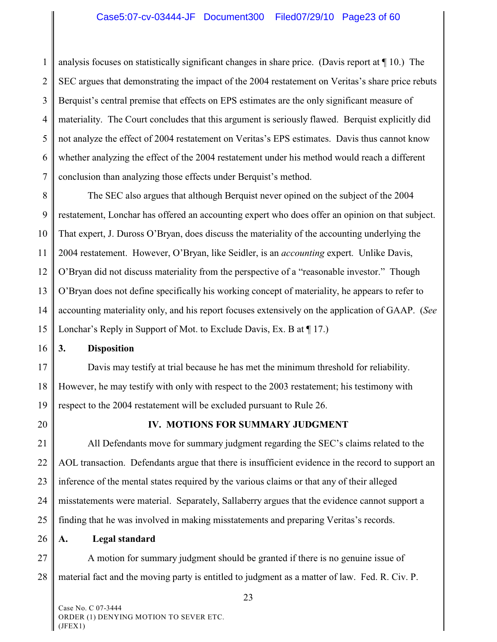1 2 3 4 5 6 7 analysis focuses on statistically significant changes in share price. (Davis report at ¶ 10.) The SEC argues that demonstrating the impact of the 2004 restatement on Veritas's share price rebuts Berquist's central premise that effects on EPS estimates are the only significant measure of materiality. The Court concludes that this argument is seriously flawed. Berquist explicitly did not analyze the effect of 2004 restatement on Veritas's EPS estimates. Davis thus cannot know whether analyzing the effect of the 2004 restatement under his method would reach a different conclusion than analyzing those effects under Berquist's method.

8 9 10 11 12 13 14 15 The SEC also argues that although Berquist never opined on the subject of the 2004 restatement, Lonchar has offered an accounting expert who does offer an opinion on that subject. That expert, J. Duross O'Bryan, does discuss the materiality of the accounting underlying the 2004 restatement. However, O'Bryan, like Seidler, is an *accounting* expert. Unlike Davis, O'Bryan did not discuss materiality from the perspective of a "reasonable investor." Though O'Bryan does not define specifically his working concept of materiality, he appears to refer to accounting materiality only, and his report focuses extensively on the application of GAAP. (*See* Lonchar's Reply in Support of Mot. to Exclude Davis, Ex. B at  $\P$  17.)

16 **3. Disposition**

17 18 19 Davis may testify at trial because he has met the minimum threshold for reliability. However, he may testify with only with respect to the 2003 restatement; his testimony with respect to the 2004 restatement will be excluded pursuant to Rule 26.

20

# **IV. MOTIONS FOR SUMMARY JUDGMENT**

21 22 23 24 25 All Defendants move for summary judgment regarding the SEC's claims related to the AOL transaction. Defendants argue that there is insufficient evidence in the record to support an inference of the mental states required by the various claims or that any of their alleged misstatements were material. Separately, Sallaberry argues that the evidence cannot support a finding that he was involved in making misstatements and preparing Veritas's records.

26 **A. Legal standard**

27 28 A motion for summary judgment should be granted if there is no genuine issue of material fact and the moving party is entitled to judgment as a matter of law. Fed. R. Civ. P.

Case No. C 07-3444 ORDER (1) DENYING MOTION TO SEVER ETC. (JFEX1)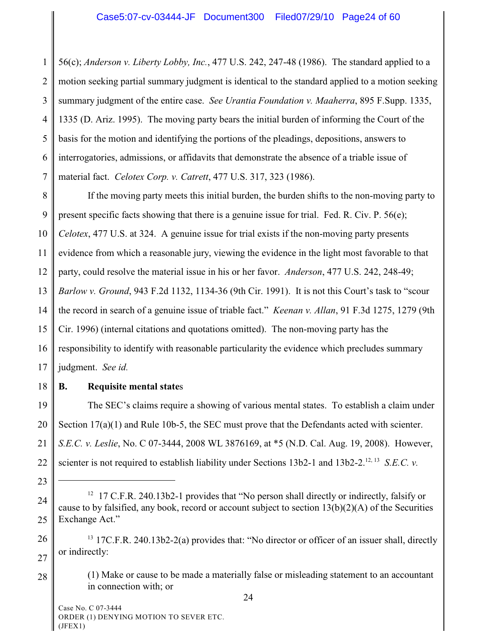1 2 3 4 5 6 7 56(c); *Anderson v. Liberty Lobby, Inc.*, 477 U.S. 242, 247-48 (1986). The standard applied to a motion seeking partial summary judgment is identical to the standard applied to a motion seeking summary judgment of the entire case. *See Urantia Foundation v. Maaherra*, 895 F.Supp. 1335, 1335 (D. Ariz. 1995). The moving party bears the initial burden of informing the Court of the basis for the motion and identifying the portions of the pleadings, depositions, answers to interrogatories, admissions, or affidavits that demonstrate the absence of a triable issue of material fact. *Celotex Corp. v. Catrett*, 477 U.S. 317, 323 (1986).

8 9 10 11 12 13 14 15 16 17 If the moving party meets this initial burden, the burden shifts to the non-moving party to present specific facts showing that there is a genuine issue for trial. Fed. R. Civ. P. 56(e); *Celotex*, 477 U.S. at 324. A genuine issue for trial exists if the non-moving party presents evidence from which a reasonable jury, viewing the evidence in the light most favorable to that party, could resolve the material issue in his or her favor. *Anderson*, 477 U.S. 242, 248-49; *Barlow v. Ground*, 943 F.2d 1132, 1134-36 (9th Cir. 1991). It is not this Court's task to "scour the record in search of a genuine issue of triable fact." *Keenan v. Allan*, 91 F.3d 1275, 1279 (9th Cir. 1996) (internal citations and quotations omitted). The non-moving party has the responsibility to identify with reasonable particularity the evidence which precludes summary judgment. *See id.* 

18

# **B. Requisite mental state**s

19 20 21 22 The SEC's claims require a showing of various mental states. To establish a claim under Section 17(a)(1) and Rule 10b-5, the SEC must prove that the Defendants acted with scienter. *S.E.C. v. Leslie*, No. C 07-3444, 2008 WL 3876169, at \*5 (N.D. Cal. Aug. 19, 2008). However, scienter is not required to establish liability under Sections 13b2-1 and 13b2-2.<sup>12, 13</sup> S.E.C. v.

<sup>23</sup>

<sup>24</sup> 25 <sup>12</sup> 17 C.F.R. 240.13b2-1 provides that "No person shall directly or indirectly, falsify or cause to by falsified, any book, record or account subject to section  $13(b)(2)(A)$  of the Securities Exchange Act."

<sup>26</sup> 27  $13$  17C.F.R. 240.13b2-2(a) provides that: "No director or officer of an issuer shall, directly or indirectly:

<sup>28</sup> (1) Make or cause to be made a materially false or misleading statement to an accountant in connection with; or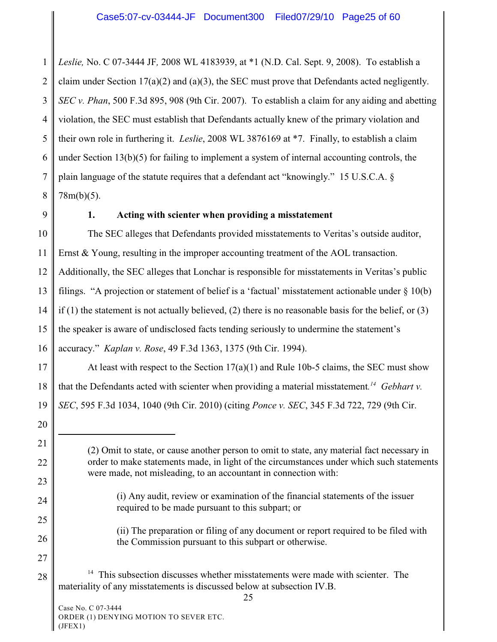1 2 3 4 5 6 7 8 *Leslie,* No. C 07-3444 JF*,* 2008 WL 4183939, at \*1 (N.D. Cal. Sept. 9, 2008). To establish a claim under Section 17(a)(2) and (a)(3), the SEC must prove that Defendants acted negligently. *SEC v. Phan*, 500 F.3d 895, 908 (9th Cir. 2007). To establish a claim for any aiding and abetting violation, the SEC must establish that Defendants actually knew of the primary violation and their own role in furthering it. *Leslie*, 2008 WL 3876169 at \*7. Finally, to establish a claim under Section 13(b)(5) for failing to implement a system of internal accounting controls, the plain language of the statute requires that a defendant act "knowingly." 15 U.S.C.A. § 78m(b)(5).

9

#### **1. Acting with scienter when providing a misstatement**

10 11 12 13 14 15 16 The SEC alleges that Defendants provided misstatements to Veritas's outside auditor, Ernst & Young, resulting in the improper accounting treatment of the AOL transaction. Additionally, the SEC alleges that Lonchar is responsible for misstatements in Veritas's public filings. "A projection or statement of belief is a 'factual' misstatement actionable under § 10(b) if (1) the statement is not actually believed, (2) there is no reasonable basis for the belief, or (3) the speaker is aware of undisclosed facts tending seriously to undermine the statement's accuracy." *Kaplan v. Rose*, 49 F.3d 1363, 1375 (9th Cir. 1994).

17 18 19 At least with respect to the Section  $17(a)(1)$  and Rule 10b-5 claims, the SEC must show that the Defendants acted with scienter when providing a material misstatement.<sup>14</sup> Gebhart v. *SEC*, 595 F.3d 1034, 1040 (9th Cir. 2010) (citing *Ponce v. SEC*, 345 F.3d 722, 729 (9th Cir.

20 21

22

23

24

25

26

27

- (i) Any audit, review or examination of the financial statements of the issuer required to be made pursuant to this subpart; or
- (ii) The preparation or filing of any document or report required to be filed with the Commission pursuant to this subpart or otherwise.
- 28  $14$  This subsection discusses whether misstatements were made with scienter. The materiality of any misstatements is discussed below at subsection IV.B.

<sup>(2)</sup> Omit to state, or cause another person to omit to state, any material fact necessary in order to make statements made, in light of the circumstances under which such statements were made, not misleading, to an accountant in connection with: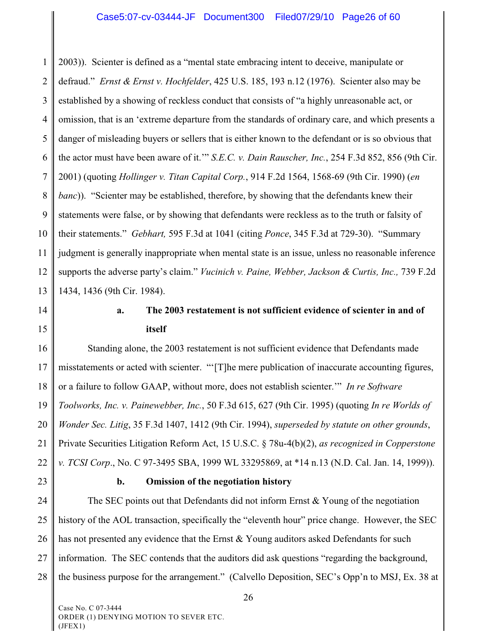1 2 3 4 5 6 7 8 9 10 11 12 13 2003)). Scienter is defined as a "mental state embracing intent to deceive, manipulate or defraud." *Ernst & Ernst v. Hochfelder*, 425 U.S. 185, 193 n.12 (1976). Scienter also may be established by a showing of reckless conduct that consists of "a highly unreasonable act, or omission, that is an 'extreme departure from the standards of ordinary care, and which presents a danger of misleading buyers or sellers that is either known to the defendant or is so obvious that the actor must have been aware of it.'" *S.E.C. v. Dain Rauscher, Inc.*, 254 F.3d 852, 856 (9th Cir. 2001) (quoting *Hollinger v. Titan Capital Corp.*, 914 F.2d 1564, 1568-69 (9th Cir. 1990) (*en banc*)). "Scienter may be established, therefore, by showing that the defendants knew their statements were false, or by showing that defendants were reckless as to the truth or falsity of their statements." *Gebhart,* 595 F.3d at 1041 (citing *Ponce*, 345 F.3d at 729-30). "Summary judgment is generally inappropriate when mental state is an issue, unless no reasonable inference supports the adverse party's claim." *Vucinich v. Paine, Webber, Jackson & Curtis, Inc.,* 739 F.2d 1434, 1436 (9th Cir. 1984).

14

15

# **a. The 2003 restatement is not sufficient evidence of scienter in and of itself**

16 17 18 19 20 21 22 Standing alone, the 2003 restatement is not sufficient evidence that Defendants made misstatements or acted with scienter. "'[T]he mere publication of inaccurate accounting figures, or a failure to follow GAAP, without more, does not establish scienter.'" *In re Software Toolworks, Inc. v. Painewebber, Inc.*, 50 F.3d 615, 627 (9th Cir. 1995) (quoting *In re Worlds of Wonder Sec. Litig*, 35 F.3d 1407, 1412 (9th Cir. 1994), *superseded by statute on other grounds*, Private Securities Litigation Reform Act, 15 U.S.C. § 78u-4(b)(2), *as recognized in Copperstone v. TCSI Corp*., No. C 97-3495 SBA, 1999 WL 33295869, at \*14 n.13 (N.D. Cal. Jan. 14, 1999)).

23

#### **b. Omission of the negotiation history**

24 25 26 27 28 The SEC points out that Defendants did not inform Ernst & Young of the negotiation history of the AOL transaction, specifically the "eleventh hour" price change. However, the SEC has not presented any evidence that the Ernst & Young auditors asked Defendants for such information. The SEC contends that the auditors did ask questions "regarding the background, the business purpose for the arrangement." (Calvello Deposition, SEC's Opp'n to MSJ, Ex. 38 at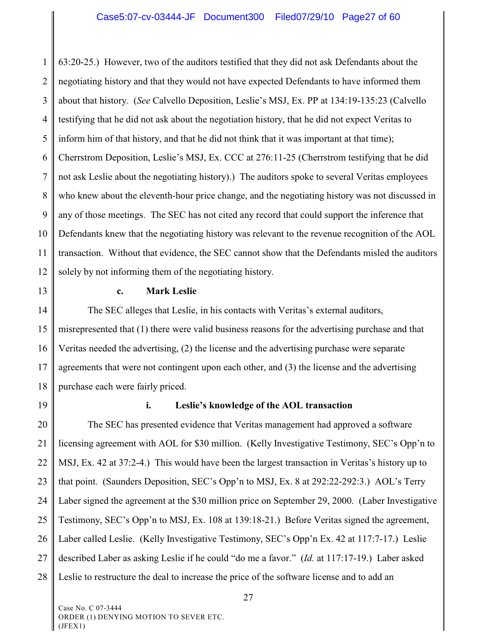1 2 3 4 5 6 7 8 9 10 11 12 63:20-25.) However, two of the auditors testified that they did not ask Defendants about the negotiating history and that they would not have expected Defendants to have informed them about that history. (*See* Calvello Deposition, Leslie's MSJ, Ex. PP at 134:19-135:23 (Calvello testifying that he did not ask about the negotiation history, that he did not expect Veritas to inform him of that history, and that he did not think that it was important at that time); Cherrstrom Deposition, Leslie's MSJ, Ex. CCC at 276:11-25 (Cherrstrom testifying that he did not ask Leslie about the negotiating history).) The auditors spoke to several Veritas employees who knew about the eleventh-hour price change, and the negotiating history was not discussed in any of those meetings. The SEC has not cited any record that could support the inference that Defendants knew that the negotiating history was relevant to the revenue recognition of the AOL transaction. Without that evidence, the SEC cannot show that the Defendants misled the auditors solely by not informing them of the negotiating history.

13

#### **c. Mark Leslie**

14 15 16 17 18 The SEC alleges that Leslie, in his contacts with Veritas's external auditors, misrepresented that (1) there were valid business reasons for the advertising purchase and that Veritas needed the advertising, (2) the license and the advertising purchase were separate agreements that were not contingent upon each other, and (3) the license and the advertising purchase each were fairly priced.

19

#### **i. Leslie's knowledge of the AOL transaction**

20 21 22 23 24 25 26 27 28 The SEC has presented evidence that Veritas management had approved a software licensing agreement with AOL for \$30 million. (Kelly Investigative Testimony, SEC's Opp'n to MSJ, Ex. 42 at 37:2-4.) This would have been the largest transaction in Veritas's history up to that point. (Saunders Deposition, SEC's Opp'n to MSJ, Ex. 8 at 292:22-292:3.) AOL's Terry Laber signed the agreement at the \$30 million price on September 29, 2000. (Laber Investigative Testimony, SEC's Opp'n to MSJ, Ex. 108 at 139:18-21.) Before Veritas signed the agreement, Laber called Leslie. (Kelly Investigative Testimony, SEC's Opp'n Ex. 42 at 117:7-17.) Leslie described Laber as asking Leslie if he could "do me a favor." (*Id.* at 117:17-19.) Laber asked Leslie to restructure the deal to increase the price of the software license and to add an

Case No. C 07-3444 ORDER (1) DENYING MOTION TO SEVER ETC. (JFEX1)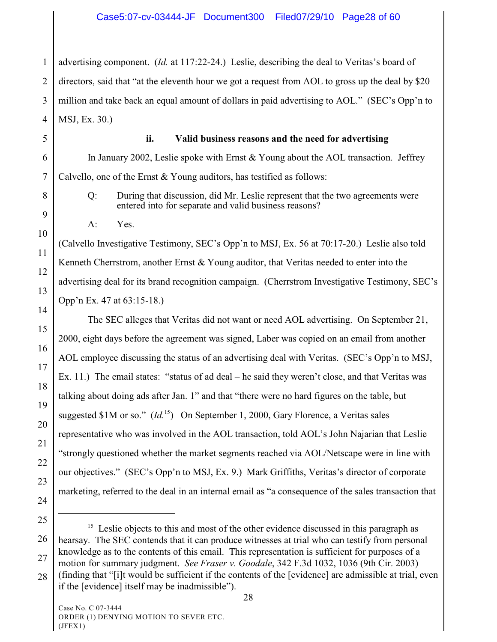1 2 3 4 advertising component. (*Id.* at 117:22-24.) Leslie, describing the deal to Veritas's board of directors, said that "at the eleventh hour we got a request from AOL to gross up the deal by \$20 million and take back an equal amount of dollars in paid advertising to AOL." (SEC's Opp'n to MSJ, Ex. 30.)

5 6

7

8

9

10

11

12

13

14

15

16

17

18

19

20

21

22

23

24

# **ii. Valid business reasons and the need for advertising**

In January 2002, Leslie spoke with Ernst & Young about the AOL transaction. Jeffrey Calvello, one of the Ernst & Young auditors, has testified as follows:

Q: During that discussion, did Mr. Leslie represent that the two agreements were entered into for separate and valid business reasons?

A: Yes.

(Calvello Investigative Testimony, SEC's Opp'n to MSJ, Ex. 56 at 70:17-20.) Leslie also told Kenneth Cherrstrom, another Ernst & Young auditor, that Veritas needed to enter into the advertising deal for its brand recognition campaign. (Cherrstrom Investigative Testimony, SEC's Opp'n Ex. 47 at 63:15-18.)

The SEC alleges that Veritas did not want or need AOL advertising. On September 21, 2000, eight days before the agreement was signed, Laber was copied on an email from another AOL employee discussing the status of an advertising deal with Veritas. (SEC's Opp'n to MSJ, Ex. 11.) The email states: "status of ad deal – he said they weren't close, and that Veritas was talking about doing ads after Jan. 1" and that "there were no hard figures on the table, but suggested  $$1M$  or so." (*Id.*<sup>15</sup>) On September 1, 2000, Gary Florence, a Veritas sales representative who was involved in the AOL transaction, told AOL's John Najarian that Leslie "strongly questioned whether the market segments reached via AOL/Netscape were in line with our objectives." (SEC's Opp'n to MSJ, Ex. 9.) Mark Griffiths, Veritas's director of corporate marketing, referred to the deal in an internal email as "a consequence of the sales transaction that

25

26

27

 $15$  Leslie objects to this and most of the other evidence discussed in this paragraph as hearsay. The SEC contends that it can produce witnesses at trial who can testify from personal knowledge as to the contents of this email. This representation is sufficient for purposes of a motion for summary judgment. *See Fraser v. Goodale*, 342 F.3d 1032, 1036 (9th Cir. 2003)

<sup>28</sup> (finding that "[i]t would be sufficient if the contents of the [evidence] are admissible at trial, even if the [evidence] itself may be inadmissible").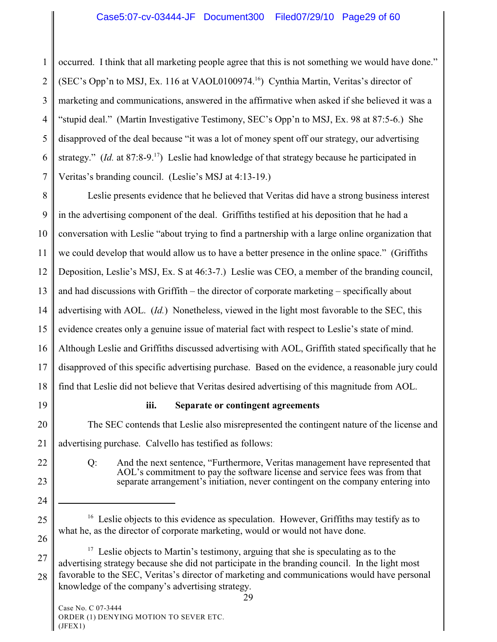1 2 3 4 5 6 7 occurred. I think that all marketing people agree that this is not something we would have done." (SEC's Opp'n to MSJ, Ex. 116 at VAOL0100974.<sup>16</sup>) Cynthia Martin, Veritas's director of marketing and communications, answered in the affirmative when asked if she believed it was a "stupid deal." (Martin Investigative Testimony, SEC's Opp'n to MSJ, Ex. 98 at 87:5-6.) She disapproved of the deal because "it was a lot of money spent off our strategy, our advertising strategy." *(Id.* at 87:8-9<sup>17</sup>) Leslie had knowledge of that strategy because he participated in Veritas's branding council. (Leslie's MSJ at 4:13-19.)

8 9 10 11 12 13 14 15 16 17 18 Leslie presents evidence that he believed that Veritas did have a strong business interest in the advertising component of the deal. Griffiths testified at his deposition that he had a conversation with Leslie "about trying to find a partnership with a large online organization that we could develop that would allow us to have a better presence in the online space." (Griffiths Deposition, Leslie's MSJ, Ex. S at 46:3-7.) Leslie was CEO, a member of the branding council, and had discussions with Griffith – the director of corporate marketing – specifically about advertising with AOL. (*Id.*) Nonetheless, viewed in the light most favorable to the SEC, this evidence creates only a genuine issue of material fact with respect to Leslie's state of mind. Although Leslie and Griffiths discussed advertising with AOL, Griffith stated specifically that he disapproved of this specific advertising purchase. Based on the evidence, a reasonable jury could find that Leslie did not believe that Veritas desired advertising of this magnitude from AOL.

19

22

23

24

25

26

**iii. Separate or contingent agreements**

20 21 The SEC contends that Leslie also misrepresented the contingent nature of the license and advertising purchase. Calvello has testified as follows:

Q: And the next sentence, "Furthermore, Veritas management have represented that AOL's commitment to pay the software license and service fees was from that separate arrangement's initiation, never contingent on the company entering into

27 28  $17$  Leslie objects to Martin's testimony, arguing that she is speculating as to the advertising strategy because she did not participate in the branding council. In the light most favorable to the SEC, Veritas's director of marketing and communications would have personal knowledge of the company's advertising strategy.

<sup>&</sup>lt;sup>16</sup> Leslie objects to this evidence as speculation. However, Griffiths may testify as to what he, as the director of corporate marketing, would or would not have done.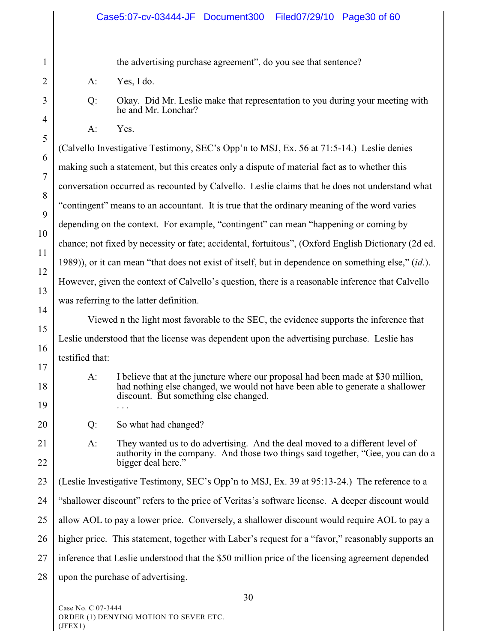1 2 3 4 5 6 7 8 9 10 11 12 13 14 15 16 17 18 19 20 21 22 23 24 25 26 27 28 the advertising purchase agreement", do you see that sentence? A: Yes, I do. Q: Okay. Did Mr. Leslie make that representation to you during your meeting with he and Mr. Lonchar?  $A^{\cdot}$  Yes. (Calvello Investigative Testimony, SEC's Opp'n to MSJ, Ex. 56 at 71:5-14.) Leslie denies making such a statement, but this creates only a dispute of material fact as to whether this conversation occurred as recounted by Calvello. Leslie claims that he does not understand what "contingent" means to an accountant. It is true that the ordinary meaning of the word varies depending on the context. For example, "contingent" can mean "happening or coming by chance; not fixed by necessity or fate; accidental, fortuitous", (Oxford English Dictionary (2d ed. 1989)), or it can mean "that does not exist of itself, but in dependence on something else," (*id*.). However, given the context of Calvello's question, there is a reasonable inference that Calvello was referring to the latter definition. Viewed n the light most favorable to the SEC, the evidence supports the inference that Leslie understood that the license was dependent upon the advertising purchase. Leslie has testified that: A: I believe that at the juncture where our proposal had been made at \$30 million, had nothing else changed, we would not have been able to generate a shallower discount. But something else changed. . . . Q: So what had changed? A: They wanted us to do advertising. And the deal moved to a different level of authority in the company. And those two things said together, "Gee, you can do a bigger deal here." (Leslie Investigative Testimony, SEC's Opp'n to MSJ, Ex. 39 at 95:13-24.) The reference to a "shallower discount" refers to the price of Veritas's software license. A deeper discount would allow AOL to pay a lower price. Conversely, a shallower discount would require AOL to pay a higher price. This statement, together with Laber's request for a "favor," reasonably supports an inference that Leslie understood that the \$50 million price of the licensing agreement depended upon the purchase of advertising.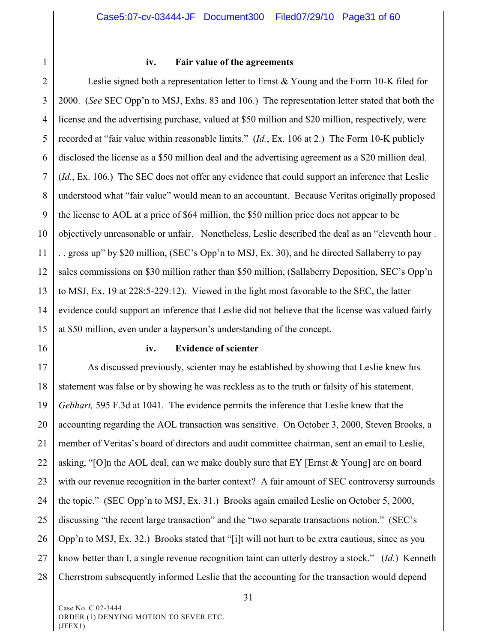1

#### **iv. Fair value of the agreements**

2 3 4 5 6 7 8 9 10 11 12 13 14 15 Leslie signed both a representation letter to Ernst  $&$  Young and the Form 10-K filed for 2000. (*See* SEC Opp'n to MSJ, Exhs. 83 and 106.) The representation letter stated that both the license and the advertising purchase, valued at \$50 million and \$20 million, respectively, were recorded at "fair value within reasonable limits." (*Id.*, Ex. 106 at 2.)The Form 10-K publicly disclosed the license as a \$50 million deal and the advertising agreement as a \$20 million deal. (*Id.*, Ex. 106.) The SEC does not offer any evidence that could support an inference that Leslie understood what "fair value" would mean to an accountant. Because Veritas originally proposed the license to AOL at a price of \$64 million, the \$50 million price does not appear to be objectively unreasonable or unfair. Nonetheless, Leslie described the deal as an "eleventh hour . . . gross up" by \$20 million, (SEC's Opp'n to MSJ, Ex. 30), and he directed Sallaberry to pay sales commissions on \$30 million rather than \$50 million, (Sallaberry Deposition, SEC's Opp'n to MSJ, Ex. 19 at 228:5-229:12). Viewed in the light most favorable to the SEC, the latter evidence could support an inference that Leslie did not believe that the license was valued fairly at \$50 million, even under a layperson's understanding of the concept.

16

#### **iv. Evidence of scienter**

17 18 19 20 21 22 23 24 25 26 27 28 As discussed previously, scienter may be established by showing that Leslie knew his statement was false or by showing he was reckless as to the truth or falsity of his statement. *Gebhart,* 595 F.3d at 1041. The evidence permits the inference that Leslie knew that the accounting regarding the AOL transaction was sensitive. On October 3, 2000, Steven Brooks, a member of Veritas's board of directors and audit committee chairman, sent an email to Leslie, asking, "[O]n the AOL deal, can we make doubly sure that EY [Ernst & Young] are on board with our revenue recognition in the barter context? A fair amount of SEC controversy surrounds the topic." (SEC Opp'n to MSJ, Ex. 31.) Brooks again emailed Leslie on October 5, 2000, discussing "the recent large transaction" and the "two separate transactions notion." (SEC's Opp'n to MSJ, Ex. 32.) Brooks stated that "[i]t will not hurt to be extra cautious, since as you know better than I, a single revenue recognition taint can utterly destroy a stock." (*Id.*) Kenneth Cherrstrom subsequently informed Leslie that the accounting for the transaction would depend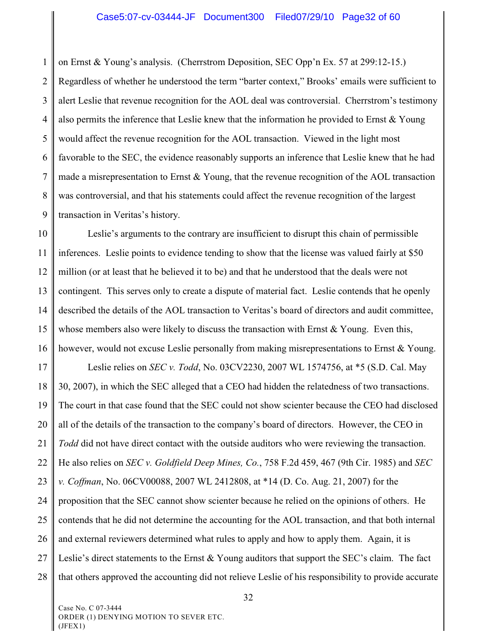1 2 3 4 5 6 7 8 9 on Ernst & Young's analysis. (Cherrstrom Deposition, SEC Opp'n Ex. 57 at 299:12-15.) Regardless of whether he understood the term "barter context," Brooks' emails were sufficient to alert Leslie that revenue recognition for the AOL deal was controversial. Cherrstrom's testimony also permits the inference that Leslie knew that the information he provided to Ernst & Young would affect the revenue recognition for the AOL transaction. Viewed in the light most favorable to the SEC, the evidence reasonably supports an inference that Leslie knew that he had made a misrepresentation to Ernst & Young, that the revenue recognition of the AOL transaction was controversial, and that his statements could affect the revenue recognition of the largest transaction in Veritas's history.

10 11 12 13 14 15 16 Leslie's arguments to the contrary are insufficient to disrupt this chain of permissible inferences. Leslie points to evidence tending to show that the license was valued fairly at \$50 million (or at least that he believed it to be) and that he understood that the deals were not contingent. This serves only to create a dispute of material fact. Leslie contends that he openly described the details of the AOL transaction to Veritas's board of directors and audit committee, whose members also were likely to discuss the transaction with Ernst  $& Young$ . Even this, however, would not excuse Leslie personally from making misrepresentations to Ernst & Young.

17 18 19 20 21 22 23 24 25 26 27 28 Leslie relies on *SEC v. Todd*, No. 03CV2230, 2007 WL 1574756, at \*5 (S.D. Cal. May 30, 2007), in which the SEC alleged that a CEO had hidden the relatedness of two transactions. The court in that case found that the SEC could not show scienter because the CEO had disclosed all of the details of the transaction to the company's board of directors. However, the CEO in *Todd* did not have direct contact with the outside auditors who were reviewing the transaction. He also relies on *SEC v. Goldfield Deep Mines, Co.*, 758 F.2d 459, 467 (9th Cir. 1985) and *SEC v. Coffman*, No. 06CV00088, 2007 WL 2412808, at \*14 (D. Co. Aug. 21, 2007) for the proposition that the SEC cannot show scienter because he relied on the opinions of others. He contends that he did not determine the accounting for the AOL transaction, and that both internal and external reviewers determined what rules to apply and how to apply them. Again, it is Leslie's direct statements to the Ernst & Young auditors that support the SEC's claim. The fact that others approved the accounting did not relieve Leslie of his responsibility to provide accurate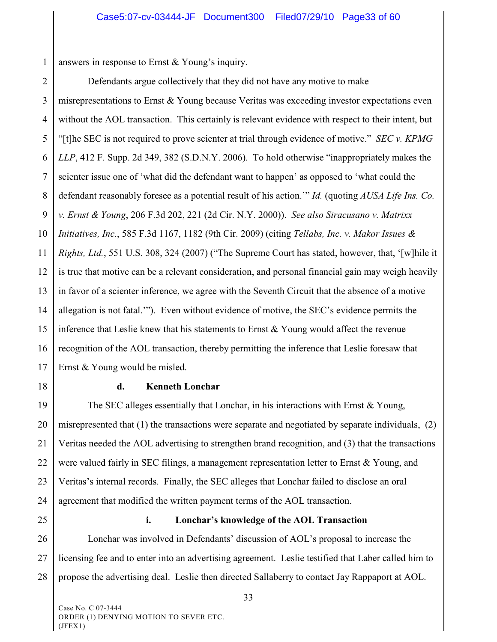1 answers in response to Ernst & Young's inquiry.

2 3 4 5 6 7 8 9 10 11 12 13 14 15 16 17 Defendants argue collectively that they did not have any motive to make misrepresentations to Ernst & Young because Veritas was exceeding investor expectations even without the AOL transaction. This certainly is relevant evidence with respect to their intent, but "[t]he SEC is not required to prove scienter at trial through evidence of motive." *SEC v. KPMG LLP*, 412 F. Supp. 2d 349, 382 (S.D.N.Y. 2006). To hold otherwise "inappropriately makes the scienter issue one of 'what did the defendant want to happen' as opposed to 'what could the defendant reasonably foresee as a potential result of his action.'" *Id.* (quoting *AUSA Life Ins. Co. v. Ernst & Young*, 206 F.3d 202, 221 (2d Cir. N.Y. 2000)). *See also Siracusano v. Matrixx Initiatives, Inc.*, 585 F.3d 1167, 1182 (9th Cir. 2009) (citing *Tellabs, Inc. v. Makor Issues & Rights, Ltd.*, 551 U.S. 308, 324 (2007) ("The Supreme Court has stated, however, that, '[w]hile it is true that motive can be a relevant consideration, and personal financial gain may weigh heavily in favor of a scienter inference, we agree with the Seventh Circuit that the absence of a motive allegation is not fatal.'"). Even without evidence of motive, the SEC's evidence permits the inference that Leslie knew that his statements to Ernst  $&$  Young would affect the revenue recognition of the AOL transaction, thereby permitting the inference that Leslie foresaw that Ernst & Young would be misled.

18

#### **d. Kenneth Lonchar**

19 20 21 22 23 24 The SEC alleges essentially that Lonchar, in his interactions with Ernst & Young, misrepresented that (1) the transactions were separate and negotiated by separate individuals, (2) Veritas needed the AOL advertising to strengthen brand recognition, and (3) that the transactions were valued fairly in SEC filings, a management representation letter to Ernst & Young, and Veritas's internal records. Finally, the SEC alleges that Lonchar failed to disclose an oral agreement that modified the written payment terms of the AOL transaction.

25

#### **i. Lonchar's knowledge of the AOL Transaction**

26 27 28 Lonchar was involved in Defendants' discussion of AOL's proposal to increase the licensing fee and to enter into an advertising agreement. Leslie testified that Laber called him to propose the advertising deal. Leslie then directed Sallaberry to contact Jay Rappaport at AOL.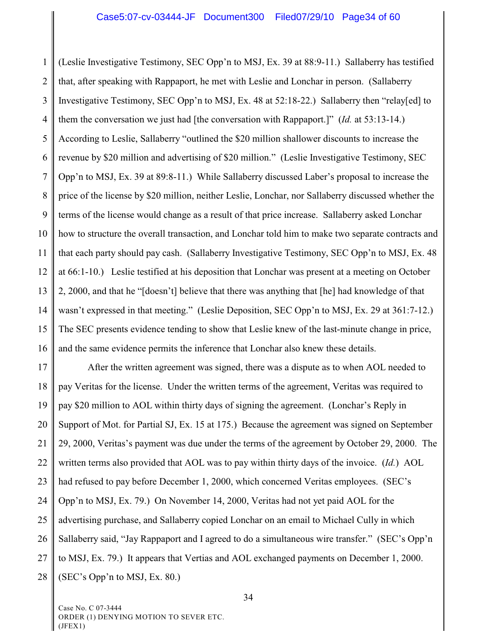1 2 3 4 5 6 7 8 9 10 11 12 13 14 15 16 (Leslie Investigative Testimony, SEC Opp'n to MSJ, Ex. 39 at 88:9-11.) Sallaberry has testified that, after speaking with Rappaport, he met with Leslie and Lonchar in person. (Sallaberry Investigative Testimony, SEC Opp'n to MSJ, Ex. 48 at 52:18-22.) Sallaberry then "relay[ed] to them the conversation we just had [the conversation with Rappaport.]" (*Id.* at 53:13-14.) According to Leslie, Sallaberry "outlined the \$20 million shallower discounts to increase the revenue by \$20 million and advertising of \$20 million." (Leslie Investigative Testimony, SEC Opp'n to MSJ, Ex. 39 at 89:8-11.) While Sallaberry discussed Laber's proposal to increase the price of the license by \$20 million, neither Leslie, Lonchar, nor Sallaberry discussed whether the terms of the license would change as a result of that price increase. Sallaberry asked Lonchar how to structure the overall transaction, and Lonchar told him to make two separate contracts and that each party should pay cash. (Sallaberry Investigative Testimony, SEC Opp'n to MSJ, Ex. 48 at 66:1-10.) Leslie testified at his deposition that Lonchar was present at a meeting on October 2, 2000, and that he "[doesn't] believe that there was anything that [he] had knowledge of that wasn't expressed in that meeting." (Leslie Deposition, SEC Opp'n to MSJ, Ex. 29 at 361:7-12.) The SEC presents evidence tending to show that Leslie knew of the last-minute change in price, and the same evidence permits the inference that Lonchar also knew these details.

17 18 19 20 21 22 23 24 25 26 27 28 After the written agreement was signed, there was a dispute as to when AOL needed to pay Veritas for the license. Under the written terms of the agreement, Veritas was required to pay \$20 million to AOL within thirty days of signing the agreement. (Lonchar's Reply in Support of Mot. for Partial SJ, Ex. 15 at 175.) Because the agreement was signed on September 29, 2000, Veritas's payment was due under the terms of the agreement by October 29, 2000. The written terms also provided that AOL was to pay within thirty days of the invoice. (*Id.*) AOL had refused to pay before December 1, 2000, which concerned Veritas employees. (SEC's Opp'n to MSJ, Ex. 79.) On November 14, 2000, Veritas had not yet paid AOL for the advertising purchase, and Sallaberry copied Lonchar on an email to Michael Cully in which Sallaberry said, "Jay Rappaport and I agreed to do a simultaneous wire transfer." (SEC's Opp'n to MSJ, Ex. 79.) It appears that Vertias and AOL exchanged payments on December 1, 2000. (SEC's Opp'n to MSJ, Ex. 80.)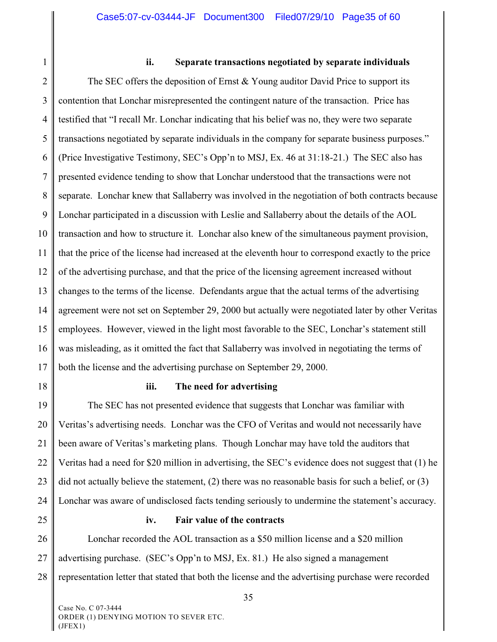1

#### **ii. Separate transactions negotiated by separate individuals**

2 3 4 5 6 7 8 9 10 11 12 13 14 15 16 17 The SEC offers the deposition of Ernst  $&$  Young auditor David Price to support its contention that Lonchar misrepresented the contingent nature of the transaction. Price has testified that "I recall Mr. Lonchar indicating that his belief was no, they were two separate transactions negotiated by separate individuals in the company for separate business purposes." (Price Investigative Testimony, SEC's Opp'n to MSJ, Ex. 46 at 31:18-21.) The SEC also has presented evidence tending to show that Lonchar understood that the transactions were not separate. Lonchar knew that Sallaberry was involved in the negotiation of both contracts because Lonchar participated in a discussion with Leslie and Sallaberry about the details of the AOL transaction and how to structure it. Lonchar also knew of the simultaneous payment provision, that the price of the license had increased at the eleventh hour to correspond exactly to the price of the advertising purchase, and that the price of the licensing agreement increased without changes to the terms of the license. Defendants argue that the actual terms of the advertising agreement were not set on September 29, 2000 but actually were negotiated later by other Veritas employees. However, viewed in the light most favorable to the SEC, Lonchar's statement still was misleading, as it omitted the fact that Sallaberry was involved in negotiating the terms of both the license and the advertising purchase on September 29, 2000.

18

#### **iii. The need for advertising**

19 20 21 22 23 24 The SEC has not presented evidence that suggests that Lonchar was familiar with Veritas's advertising needs. Lonchar was the CFO of Veritas and would not necessarily have been aware of Veritas's marketing plans. Though Lonchar may have told the auditors that Veritas had a need for \$20 million in advertising, the SEC's evidence does not suggest that (1) he did not actually believe the statement, (2) there was no reasonable basis for such a belief, or (3) Lonchar was aware of undisclosed facts tending seriously to undermine the statement's accuracy.

25

#### **iv. Fair value of the contracts**

26 27 28 Lonchar recorded the AOL transaction as a \$50 million license and a \$20 million advertising purchase. (SEC's Opp'n to MSJ, Ex. 81.) He also signed a management representation letter that stated that both the license and the advertising purchase were recorded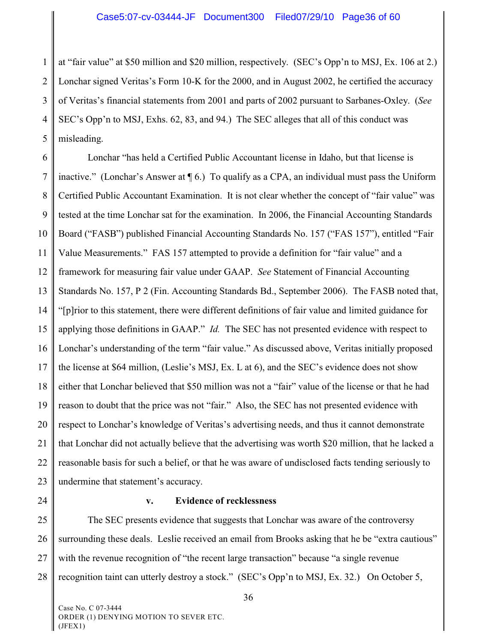1 2 3 4 5 at "fair value" at \$50 million and \$20 million, respectively. (SEC's Opp'n to MSJ, Ex. 106 at 2.) Lonchar signed Veritas's Form 10-K for the 2000, and in August 2002, he certified the accuracy of Veritas's financial statements from 2001 and parts of 2002 pursuant to Sarbanes-Oxley. (*See* SEC's Opp'n to MSJ, Exhs. 62, 83, and 94.) The SEC alleges that all of this conduct was misleading.

6 7 8 9 10 11 12 13 14 15 16 17 18 19 20 21 22 23 Lonchar "has held a Certified Public Accountant license in Idaho, but that license is inactive." (Lonchar's Answer at  $\P$  6.) To qualify as a CPA, an individual must pass the Uniform Certified Public Accountant Examination. It is not clear whether the concept of "fair value" was tested at the time Lonchar sat for the examination. In 2006, the Financial Accounting Standards Board ("FASB") published Financial Accounting Standards No. 157 ("FAS 157"), entitled "Fair Value Measurements." FAS 157 attempted to provide a definition for "fair value" and a framework for measuring fair value under GAAP. *See* Statement of Financial Accounting Standards No. 157, P 2 (Fin. Accounting Standards Bd., September 2006). The FASB noted that, "[p]rior to this statement, there were different definitions of fair value and limited guidance for applying those definitions in GAAP." *Id.* The SEC has not presented evidence with respect to Lonchar's understanding of the term "fair value." As discussed above, Veritas initially proposed the license at \$64 million, (Leslie's MSJ, Ex. L at 6), and the SEC's evidence does not show either that Lonchar believed that \$50 million was not a "fair" value of the license or that he had reason to doubt that the price was not "fair." Also, the SEC has not presented evidence with respect to Lonchar's knowledge of Veritas's advertising needs, and thus it cannot demonstrate that Lonchar did not actually believe that the advertising was worth \$20 million, that he lacked a reasonable basis for such a belief, or that he was aware of undisclosed facts tending seriously to undermine that statement's accuracy.

24

## **v. Evidence of recklessness**

25 26 27 28 The SEC presents evidence that suggests that Lonchar was aware of the controversy surrounding these deals. Leslie received an email from Brooks asking that he be "extra cautious" with the revenue recognition of "the recent large transaction" because "a single revenue recognition taint can utterly destroy a stock." (SEC's Opp'n to MSJ, Ex. 32.) On October 5,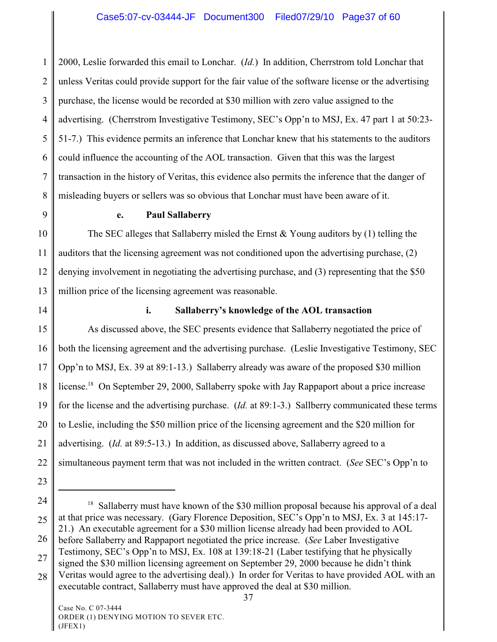1 2 3 4 5 6 7 8 2000, Leslie forwarded this email to Lonchar. (*Id.*) In addition, Cherrstrom told Lonchar that unless Veritas could provide support for the fair value of the software license or the advertising purchase, the license would be recorded at \$30 million with zero value assigned to the advertising. (Cherrstrom Investigative Testimony, SEC's Opp'n to MSJ, Ex. 47 part 1 at 50:23- 51-7.) This evidence permits an inference that Lonchar knew that his statements to the auditors could influence the accounting of the AOL transaction. Given that this was the largest transaction in the history of Veritas, this evidence also permits the inference that the danger of misleading buyers or sellers was so obvious that Lonchar must have been aware of it.

9

### **e. Paul Sallaberry**

10 11 12 13 The SEC alleges that Sallaberry misled the Ernst  $\&$  Young auditors by (1) telling the auditors that the licensing agreement was not conditioned upon the advertising purchase, (2) denying involvement in negotiating the advertising purchase, and (3) representing that the \$50 million price of the licensing agreement was reasonable.

14

# **i. Sallaberry's knowledge of the AOL transaction**

15 16 17 18 19 20 21 22 As discussed above, the SEC presents evidence that Sallaberry negotiated the price of both the licensing agreement and the advertising purchase. (Leslie Investigative Testimony, SEC Opp'n to MSJ, Ex. 39 at 89:1-13.) Sallaberry already was aware of the proposed \$30 million license.<sup>18</sup> On September 29, 2000, Sallaberry spoke with Jay Rappaport about a price increase for the license and the advertising purchase. (*Id.* at 89:1-3.) Sallberry communicated these terms to Leslie, including the \$50 million price of the licensing agreement and the \$20 million for advertising. (*Id.* at 89:5-13.) In addition, as discussed above, Sallaberry agreed to a simultaneous payment term that was not included in the written contract. (*See* SEC's Opp'n to

- 23
- 24

25

- 26 before Sallaberry and Rappaport negotiated the price increase. (*See* Laber Investigative
- 27 Testimony, SEC's Opp'n to MSJ, Ex. 108 at 139:18-21 (Laber testifying that he physically signed the \$30 million licensing agreement on September 29, 2000 because he didn't think
- 28 Veritas would agree to the advertising deal).) In order for Veritas to have provided AOL with an executable contract, Sallaberry must have approved the deal at \$30 million.

 $18$  Sallaberry must have known of the \$30 million proposal because his approval of a deal at that price was necessary. (Gary Florence Deposition, SEC's Opp'n to MSJ, Ex. 3 at 145:17- 21.) An executable agreement for a \$30 million license already had been provided to AOL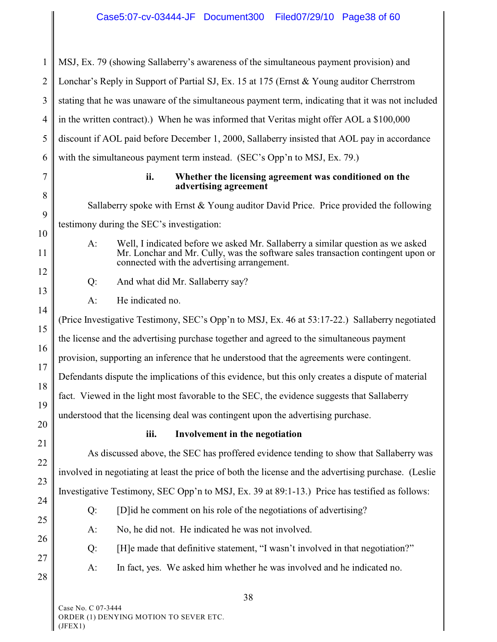1 2 3 4 5 6 7 8 9 10 11 12 13 14 15 16 17 18 19 20 21 22 23 24 25 26 27 28 MSJ, Ex. 79 (showing Sallaberry's awareness of the simultaneous payment provision) and Lonchar's Reply in Support of Partial SJ, Ex. 15 at 175 (Ernst & Young auditor Cherrstrom stating that he was unaware of the simultaneous payment term, indicating that it was not included in the written contract).) When he was informed that Veritas might offer AOL a \$100,000 discount if AOL paid before December 1, 2000, Sallaberry insisted that AOL pay in accordance with the simultaneous payment term instead. (SEC's Opp'n to MSJ, Ex. 79.) **ii. Whether the licensing agreement was conditioned on the advertising agreement** Sallaberry spoke with Ernst & Young auditor David Price. Price provided the following testimony during the SEC's investigation: A: Well, I indicated before we asked Mr. Sallaberry a similar question as we asked Mr. Lonchar and Mr. Cully, was the software sales transaction contingent upon or connected with the advertising arrangement. Q: And what did Mr. Sallaberry say? A: He indicated no. (Price Investigative Testimony, SEC's Opp'n to MSJ, Ex. 46 at 53:17-22.) Sallaberry negotiated the license and the advertising purchase together and agreed to the simultaneous payment provision, supporting an inference that he understood that the agreements were contingent. Defendants dispute the implications of this evidence, but this only creates a dispute of material fact. Viewed in the light most favorable to the SEC, the evidence suggests that Sallaberry understood that the licensing deal was contingent upon the advertising purchase. **iii. Involvement in the negotiation** As discussed above, the SEC has proffered evidence tending to show that Sallaberry was involved in negotiating at least the price of both the license and the advertising purchase. (Leslie Investigative Testimony, SEC Opp'n to MSJ, Ex. 39 at 89:1-13.) Price has testified as follows: Q: [D]id he comment on his role of the negotiations of advertising? A: No, he did not. He indicated he was not involved. Q: [H]e made that definitive statement, "I wasn't involved in that negotiation?" A: In fact, yes. We asked him whether he was involved and he indicated no.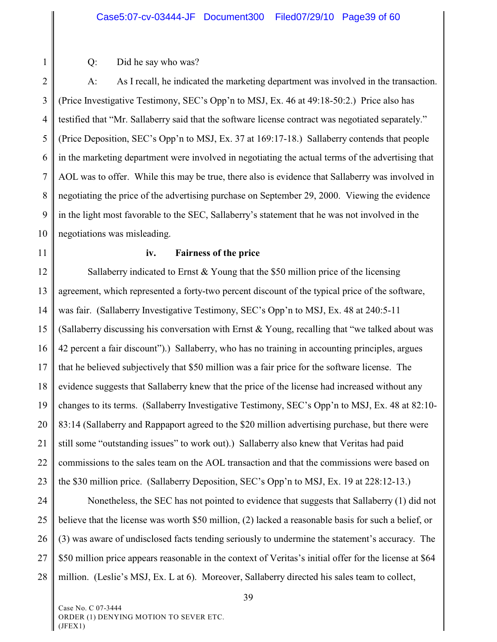#### Case5:07-cv-03444-JF Document300 Filed07/29/10 Page39 of 60

Q: Did he say who was?

2 3 4 5 6 7 8 9 10 A: As I recall, he indicated the marketing department was involved in the transaction. (Price Investigative Testimony, SEC's Opp'n to MSJ, Ex. 46 at 49:18-50:2.) Price also has testified that "Mr. Sallaberry said that the software license contract was negotiated separately." (Price Deposition, SEC's Opp'n to MSJ, Ex. 37 at 169:17-18.) Sallaberry contends that people in the marketing department were involved in negotiating the actual terms of the advertising that AOL was to offer. While this may be true, there also is evidence that Sallaberry was involved in negotiating the price of the advertising purchase on September 29, 2000. Viewing the evidence in the light most favorable to the SEC, Sallaberry's statement that he was not involved in the negotiations was misleading.

11

1

#### **iv. Fairness of the price**

12 13 14 15 16 17 18 19 20 21 22 23 Sallaberry indicated to Ernst & Young that the \$50 million price of the licensing agreement, which represented a forty-two percent discount of the typical price of the software, was fair. (Sallaberry Investigative Testimony, SEC's Opp'n to MSJ, Ex. 48 at 240:5-11 (Sallaberry discussing his conversation with Ernst  $& Young$ , recalling that "we talked about was 42 percent a fair discount").) Sallaberry, who has no training in accounting principles, argues that he believed subjectively that \$50 million was a fair price for the software license. The evidence suggests that Sallaberry knew that the price of the license had increased without any changes to its terms. (Sallaberry Investigative Testimony, SEC's Opp'n to MSJ, Ex. 48 at 82:10- 83:14 (Sallaberry and Rappaport agreed to the \$20 million advertising purchase, but there were still some "outstanding issues" to work out).) Sallaberry also knew that Veritas had paid commissions to the sales team on the AOL transaction and that the commissions were based on the \$30 million price. (Sallaberry Deposition, SEC's Opp'n to MSJ, Ex. 19 at 228:12-13.)

24 25 26 27 28 Nonetheless, the SEC has not pointed to evidence that suggests that Sallaberry (1) did not believe that the license was worth \$50 million, (2) lacked a reasonable basis for such a belief, or (3) was aware of undisclosed facts tending seriously to undermine the statement's accuracy. The \$50 million price appears reasonable in the context of Veritas's initial offer for the license at \$64 million. (Leslie's MSJ, Ex. L at 6). Moreover, Sallaberry directed his sales team to collect,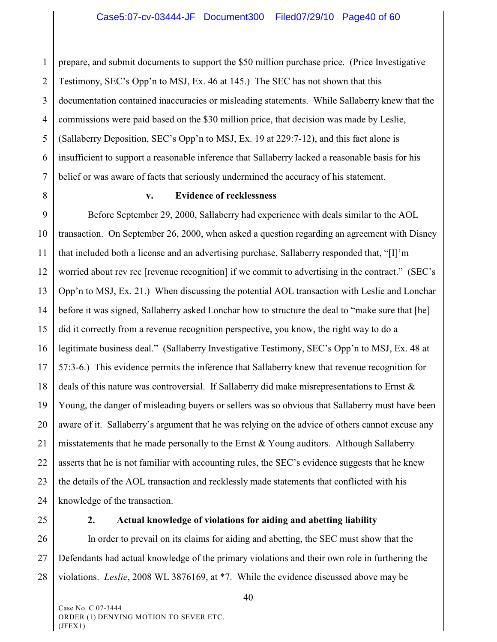1 2 3 4 5 6 7 prepare, and submit documents to support the \$50 million purchase price. (Price Investigative Testimony, SEC's Opp'n to MSJ, Ex. 46 at 145.) The SEC has not shown that this documentation contained inaccuracies or misleading statements. While Sallaberry knew that the commissions were paid based on the \$30 million price, that decision was made by Leslie, (Sallaberry Deposition, SEC's Opp'n to MSJ, Ex. 19 at 229:7-12), and this fact alone is insufficient to support a reasonable inference that Sallaberry lacked a reasonable basis for his belief or was aware of facts that seriously undermined the accuracy of his statement.

8

#### **v. Evidence of recklessness**

9 10 11 12 13 14 15 16 17 18 19 20 21 22 23 24 Before September 29, 2000, Sallaberry had experience with deals similar to the AOL transaction. On September 26, 2000, when asked a question regarding an agreement with Disney that included both a license and an advertising purchase, Sallaberry responded that, "[I]'m worried about rev rec [revenue recognition] if we commit to advertising in the contract." (SEC's Opp'n to MSJ, Ex. 21.) When discussing the potential AOL transaction with Leslie and Lonchar before it was signed, Sallaberry asked Lonchar how to structure the deal to "make sure that [he] did it correctly from a revenue recognition perspective, you know, the right way to do a legitimate business deal." (Sallaberry Investigative Testimony, SEC's Opp'n to MSJ, Ex. 48 at 57:3-6.) This evidence permits the inference that Sallaberry knew that revenue recognition for deals of this nature was controversial. If Sallaberry did make misrepresentations to Ernst & Young, the danger of misleading buyers or sellers was so obvious that Sallaberry must have been aware of it. Sallaberry's argument that he was relying on the advice of others cannot excuse any misstatements that he made personally to the Ernst  $& Young$  auditors. Although Sallaberry asserts that he is not familiar with accounting rules, the SEC's evidence suggests that he knew the details of the AOL transaction and recklessly made statements that conflicted with his knowledge of the transaction.

25

#### **2. Actual knowledge of violations for aiding and abetting liability**

26 27 28 In order to prevail on its claims for aiding and abetting, the SEC must show that the Defendants had actual knowledge of the primary violations and their own role in furthering the violations. *Leslie*, 2008 WL 3876169, at \*7. While the evidence discussed above may be

40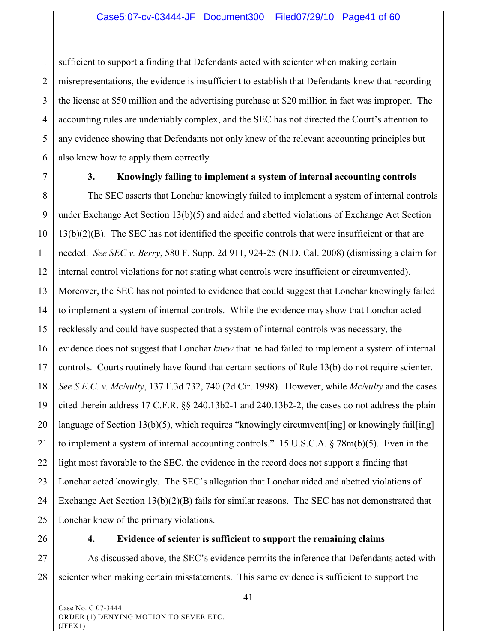1 2 3 4 5 6 sufficient to support a finding that Defendants acted with scienter when making certain misrepresentations, the evidence is insufficient to establish that Defendants knew that recording the license at \$50 million and the advertising purchase at \$20 million in fact was improper. The accounting rules are undeniably complex, and the SEC has not directed the Court's attention to any evidence showing that Defendants not only knew of the relevant accounting principles but also knew how to apply them correctly.

7

#### **3. Knowingly failing to implement a system of internal accounting controls**

8 9 10 11 12 13 14 15 16 17 18 19 20 21 22 23 24 25 The SEC asserts that Lonchar knowingly failed to implement a system of internal controls under Exchange Act Section 13(b)(5) and aided and abetted violations of Exchange Act Section 13(b)(2)(B). The SEC has not identified the specific controls that were insufficient or that are needed. *See SEC v. Berry*, 580 F. Supp. 2d 911, 924-25 (N.D. Cal. 2008) (dismissing a claim for internal control violations for not stating what controls were insufficient or circumvented). Moreover, the SEC has not pointed to evidence that could suggest that Lonchar knowingly failed to implement a system of internal controls. While the evidence may show that Lonchar acted recklessly and could have suspected that a system of internal controls was necessary, the evidence does not suggest that Lonchar *knew* that he had failed to implement a system of internal controls. Courts routinely have found that certain sections of Rule 13(b) do not require scienter. *See S.E.C. v. McNulty*, 137 F.3d 732, 740 (2d Cir. 1998). However, while *McNulty* and the cases cited therein address 17 C.F.R. §§ 240.13b2-1 and 240.13b2-2, the cases do not address the plain language of Section 13(b)(5), which requires "knowingly circumvent[ing] or knowingly fail[ing] to implement a system of internal accounting controls." 15 U.S.C.A. § 78m(b)(5). Even in the light most favorable to the SEC, the evidence in the record does not support a finding that Lonchar acted knowingly. The SEC's allegation that Lonchar aided and abetted violations of Exchange Act Section 13(b)(2)(B) fails for similar reasons. The SEC has not demonstrated that Lonchar knew of the primary violations.

26

#### **4. Evidence of scienter is sufficient to support the remaining claims**

27 28 As discussed above, the SEC's evidence permits the inference that Defendants acted with scienter when making certain misstatements. This same evidence is sufficient to support the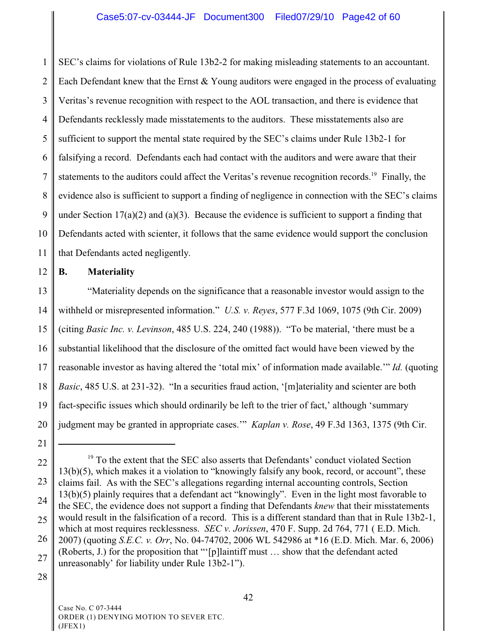1 2 3 4 5 6 7 8 9 10 11 SEC's claims for violations of Rule 13b2-2 for making misleading statements to an accountant. Each Defendant knew that the Ernst & Young auditors were engaged in the process of evaluating Veritas's revenue recognition with respect to the AOL transaction, and there is evidence that Defendants recklessly made misstatements to the auditors. These misstatements also are sufficient to support the mental state required by the SEC's claims under Rule 13b2-1 for falsifying a record. Defendants each had contact with the auditors and were aware that their statements to the auditors could affect the Veritas's revenue recognition records.<sup>19</sup> Finally, the evidence also is sufficient to support a finding of negligence in connection with the SEC's claims under Section  $17(a)(2)$  and  $(a)(3)$ . Because the evidence is sufficient to support a finding that Defendants acted with scienter, it follows that the same evidence would support the conclusion that Defendants acted negligently.

#### 12 **B. Materiality**

13 14 15 16 17 18 19 20 "Materiality depends on the significance that a reasonable investor would assign to the withheld or misrepresented information." *U.S. v. Reyes*, 577 F.3d 1069, 1075 (9th Cir. 2009) (citing *Basic Inc. v. Levinson*, 485 U.S. 224, 240 (1988)). "To be material, 'there must be a substantial likelihood that the disclosure of the omitted fact would have been viewed by the reasonable investor as having altered the 'total mix' of information made available.'" *Id.* (quoting *Basic*, 485 U.S. at 231-32). "In a securities fraud action, '[m]ateriality and scienter are both fact-specific issues which should ordinarily be left to the trier of fact,' although 'summary judgment may be granted in appropriate cases.'" *Kaplan v. Rose*, 49 F.3d 1363, 1375 (9th Cir.

28

<sup>21</sup>

<sup>22</sup> 23 24 25 26 27  $19$  To the extent that the SEC also asserts that Defendants' conduct violated Section 13(b)(5), which makes it a violation to "knowingly falsify any book, record, or account", these claims fail. As with the SEC's allegations regarding internal accounting controls, Section 13(b)(5) plainly requires that a defendant act "knowingly". Even in the light most favorable to the SEC, the evidence does not support a finding that Defendants *knew* that their misstatements would result in the falsification of a record. This is a different standard than that in Rule 13b2-1, which at most requires recklessness. *SEC v. Jorissen*, 470 F. Supp. 2d 764, 771 ( E.D. Mich. 2007) (quoting *S.E.C. v. Orr*, No. 04-74702, 2006 WL 542986 at \*16 (E.D. Mich. Mar. 6, 2006) (Roberts, J.) for the proposition that "'[p]laintiff must … show that the defendant acted unreasonably' for liability under Rule 13b2-1").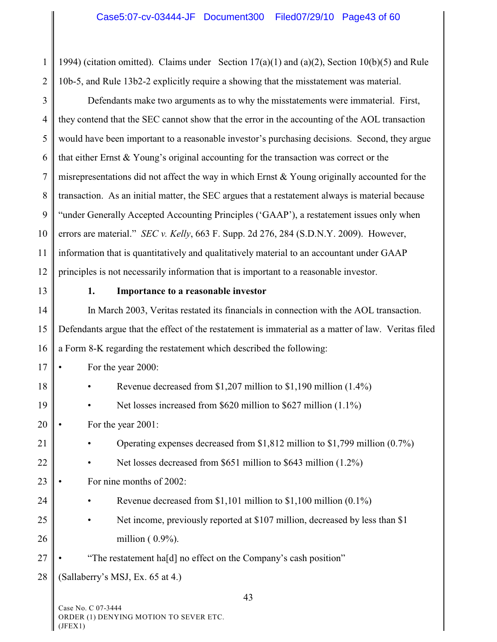1 2 1994) (citation omitted). Claims under Section 17(a)(1) and (a)(2), Section 10(b)(5) and Rule 10b-5, and Rule 13b2-2 explicitly require a showing that the misstatement was material.

3 4 5 6 7 8 9 10 11 12 Defendants make two arguments as to why the misstatements were immaterial. First, they contend that the SEC cannot show that the error in the accounting of the AOL transaction would have been important to a reasonable investor's purchasing decisions. Second, they argue that either Ernst & Young's original accounting for the transaction was correct or the misrepresentations did not affect the way in which Ernst & Young originally accounted for the transaction. As an initial matter, the SEC argues that a restatement always is material because "under Generally Accepted Accounting Principles ('GAAP'), a restatement issues only when errors are material." *SEC v. Kelly*, 663 F. Supp. 2d 276, 284 (S.D.N.Y. 2009). However, information that is quantitatively and qualitatively material to an accountant under GAAP principles is not necessarily information that is important to a reasonable investor.

13

#### **1. Importance to a reasonable investor**

14 15 16 In March 2003, Veritas restated its financials in connection with the AOL transaction. Defendants argue that the effect of the restatement is immaterial as a matter of law. Veritas filed a Form 8-K regarding the restatement which described the following:

17 • For the year 2000:

| 18 |  | Revenue decreased from \$1,207 million to \$1,190 million $(1.4\%)$ |  |
|----|--|---------------------------------------------------------------------|--|
|----|--|---------------------------------------------------------------------|--|

19 Net losses increased from \$620 million to \$627 million (1.1%)

20 For the year 2001:

- 21 • Operating expenses decreased from \$1,812 million to \$1,799 million (0.7%)
- 22 Net losses decreased from \$651 million to \$643 million (1.2%)
- 23 For nine months of 2002:
- 24 • Revenue decreased from \$1,101 million to \$1,100 million (0.1%)
- 25 26 Net income, previously reported at \$107 million, decreased by less than \$1 million (  $0.9\%$ ).
- 27 • "The restatement ha[d] no effect on the Company's cash position"
- 28 (Sallaberry's MSJ, Ex. 65 at 4.)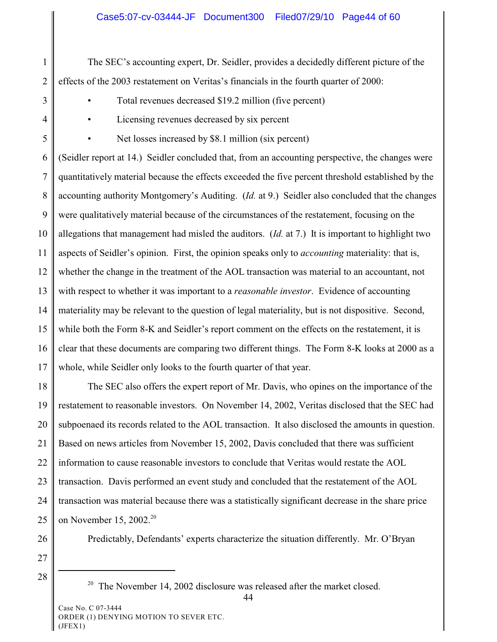1 2 The SEC's accounting expert, Dr. Seidler, provides a decidedly different picture of the effects of the 2003 restatement on Veritas's financials in the fourth quarter of 2000:

3

• Total revenues decreased \$19.2 million (five percent)

4

Licensing revenues decreased by six percent

5

• Net losses increased by \$8.1 million (six percent)

6 7 8 9 10 11 12 13 14 15 16 17 (Seidler report at 14.) Seidler concluded that, from an accounting perspective, the changes were quantitatively material because the effects exceeded the five percent threshold established by the accounting authority Montgomery's Auditing. (*Id.* at 9.) Seidler also concluded that the changes were qualitatively material because of the circumstances of the restatement, focusing on the allegations that management had misled the auditors. (*Id.* at 7.) It is important to highlight two aspects of Seidler's opinion. First, the opinion speaks only to *accounting* materiality: that is, whether the change in the treatment of the AOL transaction was material to an accountant, not with respect to whether it was important to a *reasonable investor*. Evidence of accounting materiality may be relevant to the question of legal materiality, but is not dispositive. Second, while both the Form 8-K and Seidler's report comment on the effects on the restatement, it is clear that these documents are comparing two different things. The Form 8-K looks at 2000 as a whole, while Seidler only looks to the fourth quarter of that year.

18 19 20 21 22 23 24 25 The SEC also offers the expert report of Mr. Davis, who opines on the importance of the restatement to reasonable investors. On November 14, 2002, Veritas disclosed that the SEC had subpoenaed its records related to the AOL transaction. It also disclosed the amounts in question. Based on news articles from November 15, 2002, Davis concluded that there was sufficient information to cause reasonable investors to conclude that Veritas would restate the AOL transaction. Davis performed an event study and concluded that the restatement of the AOL transaction was material because there was a statistically significant decrease in the share price on November 15, 2002.<sup>20</sup>

26

Predictably, Defendants' experts characterize the situation differently. Mr. O'Bryan

27

28

<sup>&</sup>lt;sup>20</sup> The November 14, 2002 disclosure was released after the market closed.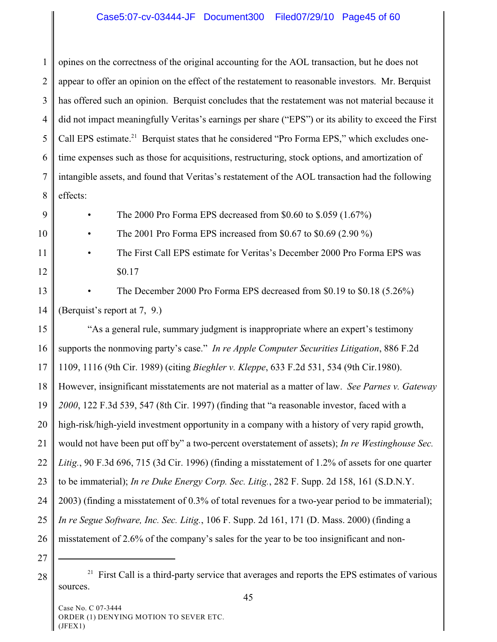# Case5:07-cv-03444-JF Document300 Filed07/29/10 Page45 of 60

1 2 3 4 5 6 7 8 opines on the correctness of the original accounting for the AOL transaction, but he does not appear to offer an opinion on the effect of the restatement to reasonable investors. Mr. Berquist has offered such an opinion. Berquist concludes that the restatement was not material because it did not impact meaningfully Veritas's earnings per share ("EPS") or its ability to exceed the First Call EPS estimate.<sup>21</sup> Berquist states that he considered "Pro Forma EPS," which excludes onetime expenses such as those for acquisitions, restructuring, stock options, and amortization of intangible assets, and found that Veritas's restatement of the AOL transaction had the following effects:

9

10

- The 2000 Pro Forma EPS decreased from \$0.60 to \$.059 (1.67%)
- The 2001 Pro Forma EPS increased from \$0.67 to \$0.69 (2.90 %)
- 11 12 • The First Call EPS estimate for Veritas's December 2000 Pro Forma EPS was \$0.17
- 13 14 • The December 2000 Pro Forma EPS decreased from \$0.19 to \$0.18 (5.26%) (Berquist's report at 7, 9.)

15 16 17 18 19 20 21 22 23 24 25 26 "As a general rule, summary judgment is inappropriate where an expert's testimony supports the nonmoving party's case." *In re Apple Computer Securities Litigation*, 886 F.2d 1109, 1116 (9th Cir. 1989) (citing *Bieghler v. Kleppe*, 633 F.2d 531, 534 (9th Cir.1980). However, insignificant misstatements are not material as a matter of law. *See Parnes v. Gateway 2000*, 122 F.3d 539, 547 (8th Cir. 1997) (finding that "a reasonable investor, faced with a high-risk/high-yield investment opportunity in a company with a history of very rapid growth, would not have been put off by" a two-percent overstatement of assets); *In re Westinghouse Sec. Litig.*, 90 F.3d 696, 715 (3d Cir. 1996) (finding a misstatement of 1.2% of assets for one quarter to be immaterial); *In re Duke Energy Corp. Sec. Litig.*, 282 F. Supp. 2d 158, 161 (S.D.N.Y. 2003) (finding a misstatement of 0.3% of total revenues for a two-year period to be immaterial); *In re Segue Software, Inc. Sec. Litig.*, 106 F. Supp. 2d 161, 171 (D. Mass. 2000) (finding a misstatement of 2.6% of the company's sales for the year to be too insignificant and non-

27

 $28 \parallel$ <sup>21</sup> First Call is a third-party service that averages and reports the EPS estimates of various sources.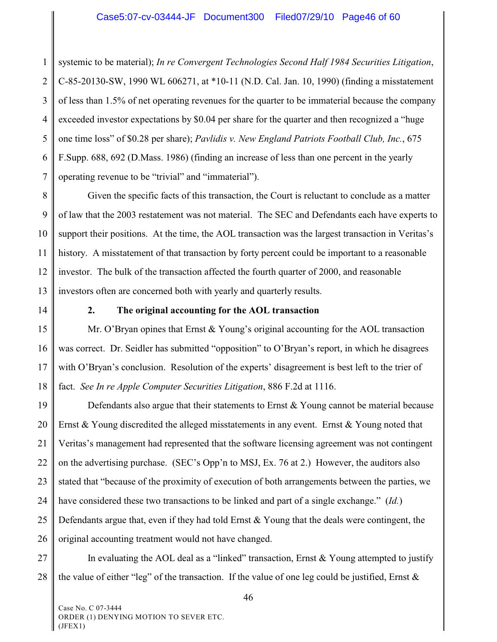1 2 3 4 5 6 7 systemic to be material); *In re Convergent Technologies Second Half 1984 Securities Litigation*, C-85-20130-SW, 1990 WL 606271, at \*10-11 (N.D. Cal. Jan. 10, 1990) (finding a misstatement of less than 1.5% of net operating revenues for the quarter to be immaterial because the company exceeded investor expectations by \$0.04 per share for the quarter and then recognized a "huge one time loss" of \$0.28 per share); *Pavlidis v. New England Patriots Football Club, Inc.*, 675 F.Supp. 688, 692 (D.Mass. 1986) (finding an increase of less than one percent in the yearly operating revenue to be "trivial" and "immaterial").

8 9 10 11 12 13 Given the specific facts of this transaction, the Court is reluctant to conclude as a matter of law that the 2003 restatement was not material. The SEC and Defendants each have experts to support their positions. At the time, the AOL transaction was the largest transaction in Veritas's history. A misstatement of that transaction by forty percent could be important to a reasonable investor.The bulk of the transaction affected the fourth quarter of 2000, and reasonable investors often are concerned both with yearly and quarterly results.

14

#### **2. The original accounting for the AOL transaction**

15 16 17 18 Mr. O'Bryan opines that Ernst & Young's original accounting for the AOL transaction was correct. Dr. Seidler has submitted "opposition" to O'Bryan's report, in which he disagrees with O'Bryan's conclusion. Resolution of the experts' disagreement is best left to the trier of fact. *See In re Apple Computer Securities Litigation*, 886 F.2d at 1116.

19 20 21 22 23 24 25 26 Defendants also argue that their statements to Ernst & Young cannot be material because Ernst  $& Young$  discredited the alleged misstatements in any event. Ernst  $& Young$  noted that Veritas's management had represented that the software licensing agreement was not contingent on the advertising purchase. (SEC's Opp'n to MSJ, Ex. 76 at 2.) However, the auditors also stated that "because of the proximity of execution of both arrangements between the parties, we have considered these two transactions to be linked and part of a single exchange." (*Id.*) Defendants argue that, even if they had told Ernst  $&$  Young that the deals were contingent, the original accounting treatment would not have changed.

27 28 In evaluating the AOL deal as a "linked" transaction, Ernst  $\&$  Young attempted to justify the value of either "leg" of the transaction. If the value of one leg could be justified, Ernst  $\&$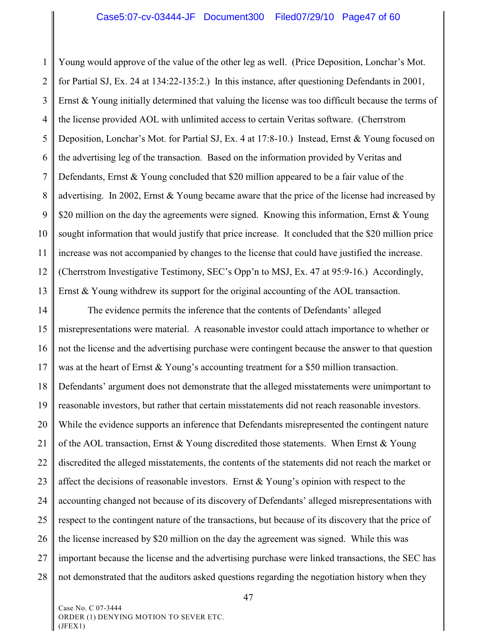1 2 3 4 5 6 7 8 9 10 11 12 13 Young would approve of the value of the other leg as well. (Price Deposition, Lonchar's Mot. for Partial SJ, Ex. 24 at 134:22-135:2.) In this instance, after questioning Defendants in 2001, Ernst & Young initially determined that valuing the license was too difficult because the terms of the license provided AOL with unlimited access to certain Veritas software. (Cherrstrom Deposition, Lonchar's Mot. for Partial SJ, Ex. 4 at 17:8-10.) Instead, Ernst & Young focused on the advertising leg of the transaction. Based on the information provided by Veritas and Defendants, Ernst & Young concluded that \$20 million appeared to be a fair value of the advertising. In 2002, Ernst & Young became aware that the price of the license had increased by \$20 million on the day the agreements were signed. Knowing this information, Ernst  $\&$  Young sought information that would justify that price increase. It concluded that the \$20 million price increase was not accompanied by changes to the license that could have justified the increase. (Cherrstrom Investigative Testimony, SEC's Opp'n to MSJ, Ex. 47 at 95:9-16.) Accordingly, Ernst & Young withdrew its support for the original accounting of the AOL transaction.

14 15 16 17 18 19 20 21 22 23 24 25 26 27 28 The evidence permits the inference that the contents of Defendants' alleged misrepresentations were material. A reasonable investor could attach importance to whether or not the license and the advertising purchase were contingent because the answer to that question was at the heart of Ernst & Young's accounting treatment for a \$50 million transaction. Defendants' argument does not demonstrate that the alleged misstatements were unimportant to reasonable investors, but rather that certain misstatements did not reach reasonable investors. While the evidence supports an inference that Defendants misrepresented the contingent nature of the AOL transaction, Ernst & Young discredited those statements. When Ernst & Young discredited the alleged misstatements, the contents of the statements did not reach the market or affect the decisions of reasonable investors. Ernst  $& Young's$  opinion with respect to the accounting changed not because of its discovery of Defendants' alleged misrepresentations with respect to the contingent nature of the transactions, but because of its discovery that the price of the license increased by \$20 million on the day the agreement was signed. While this was important because the license and the advertising purchase were linked transactions, the SEC has not demonstrated that the auditors asked questions regarding the negotiation history when they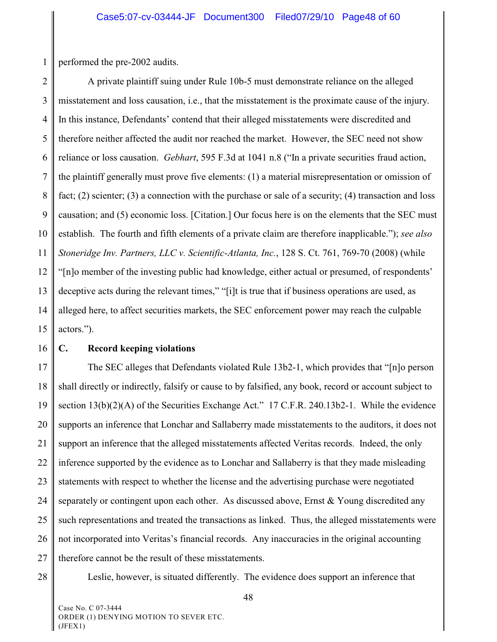1 performed the pre-2002 audits.

2 3 4 5 6 7 8 9 10 11 12 13 14 15 A private plaintiff suing under Rule 10b-5 must demonstrate reliance on the alleged misstatement and loss causation, i.e., that the misstatement is the proximate cause of the injury. In this instance, Defendants' contend that their alleged misstatements were discredited and therefore neither affected the audit nor reached the market. However, the SEC need not show reliance or loss causation. *Gebhart*, 595 F.3d at 1041 n.8 ("In a private securities fraud action, the plaintiff generally must prove five elements: (1) a material misrepresentation or omission of fact; (2) scienter; (3) a connection with the purchase or sale of a security; (4) transaction and loss causation; and (5) economic loss. [Citation.] Our focus here is on the elements that the SEC must establish. The fourth and fifth elements of a private claim are therefore inapplicable."); *see also Stoneridge Inv. Partners, LLC v. Scientific-Atlanta, Inc.*, 128 S. Ct. 761, 769-70 (2008) (while "[n]o member of the investing public had knowledge, either actual or presumed, of respondents' deceptive acts during the relevant times," "[i]t is true that if business operations are used, as alleged here, to affect securities markets, the SEC enforcement power may reach the culpable actors.").

16

#### **C. Record keeping violations**

17 18 19 20 21 22 23 24 25 26 27 The SEC alleges that Defendants violated Rule 13b2-1, which provides that "[n]o person shall directly or indirectly, falsify or cause to by falsified, any book, record or account subject to section 13(b)(2)(A) of the Securities Exchange Act." 17 C.F.R. 240.13b2-1. While the evidence supports an inference that Lonchar and Sallaberry made misstatements to the auditors, it does not support an inference that the alleged misstatements affected Veritas records. Indeed, the only inference supported by the evidence as to Lonchar and Sallaberry is that they made misleading statements with respect to whether the license and the advertising purchase were negotiated separately or contingent upon each other. As discussed above, Ernst & Young discredited any such representations and treated the transactions as linked. Thus, the alleged misstatements were not incorporated into Veritas's financial records. Any inaccuracies in the original accounting therefore cannot be the result of these misstatements.

28

Leslie, however, is situated differently. The evidence does support an inference that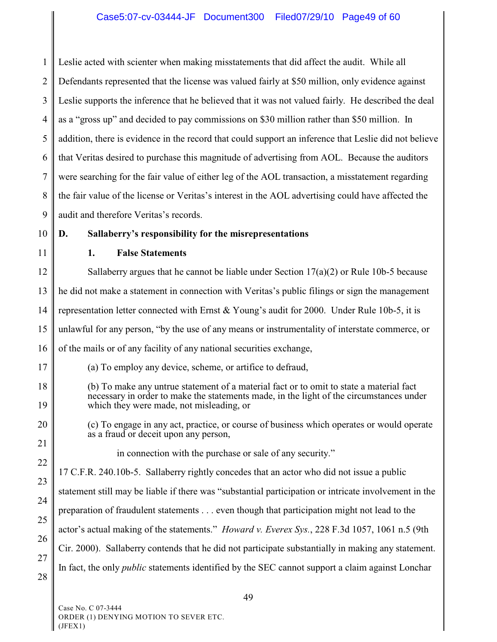1 2 3 4 5 6 7 8 9 Leslie acted with scienter when making misstatements that did affect the audit. While all Defendants represented that the license was valued fairly at \$50 million, only evidence against Leslie supports the inference that he believed that it was not valued fairly. He described the deal as a "gross up" and decided to pay commissions on \$30 million rather than \$50 million. In addition, there is evidence in the record that could support an inference that Leslie did not believe that Veritas desired to purchase this magnitude of advertising from AOL. Because the auditors were searching for the fair value of either leg of the AOL transaction, a misstatement regarding the fair value of the license or Veritas's interest in the AOL advertising could have affected the audit and therefore Veritas's records.

10

11

### **1. False Statements**

12 13 14 15 16 Sallaberry argues that he cannot be liable under Section  $17(a)(2)$  or Rule 10b-5 because he did not make a statement in connection with Veritas's public filings or sign the management representation letter connected with Ernst  $& Young's$  audit for 2000. Under Rule 10b-5, it is unlawful for any person, "by the use of any means or instrumentality of interstate commerce, or of the mails or of any facility of any national securities exchange,

17

(a) To employ any device, scheme, or artifice to defraud,

**D. Sallaberry's responsibility for the misrepresentations**

- 18 19 (b) To make any untrue statement of a material fact or to omit to state a material fact necessary in order to make the statements made, in the light of the circumstances under which they were made, not misleading, or
	- (c) To engage in any act, practice, or course of business which operates or would operate as a fraud or deceit upon any person,
- 21 22

20

in connection with the purchase or sale of any security."

23 24 26 27 17 C.F.R. 240.10b-5. Sallaberry rightly concedes that an actor who did not issue a public statement still may be liable if there was "substantial participation or intricate involvement in the preparation of fraudulent statements . . . even though that participation might not lead to the actor's actual making of the statements." *Howard v. Everex Sys.*, 228 F.3d 1057, 1061 n.5 (9th Cir. 2000). Sallaberry contends that he did not participate substantially in making any statement. In fact, the only *public* statements identified by the SEC cannot support a claim against Lonchar

28

25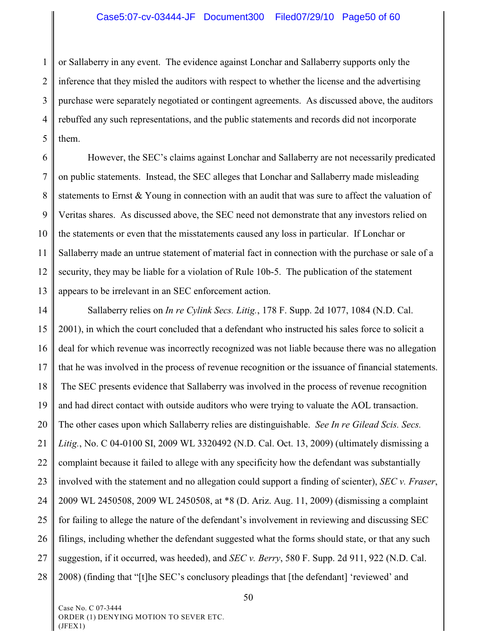#### Case5:07-cv-03444-JF Document300 Filed07/29/10 Page50 of 60

1 2 3 4 5 or Sallaberry in any event. The evidence against Lonchar and Sallaberry supports only the inference that they misled the auditors with respect to whether the license and the advertising purchase were separately negotiated or contingent agreements. As discussed above, the auditors rebuffed any such representations, and the public statements and records did not incorporate them.

6 7 8 9 10 11 12 13 However, the SEC's claims against Lonchar and Sallaberry are not necessarily predicated on public statements. Instead, the SEC alleges that Lonchar and Sallaberry made misleading statements to Ernst & Young in connection with an audit that was sure to affect the valuation of Veritas shares. As discussed above, the SEC need not demonstrate that any investors relied on the statements or even that the misstatements caused any loss in particular. If Lonchar or Sallaberry made an untrue statement of material fact in connection with the purchase or sale of a security, they may be liable for a violation of Rule 10b-5. The publication of the statement appears to be irrelevant in an SEC enforcement action.

14 15 16 17 18 19 20 21 22 23 24 25 26 27 28 Sallaberry relies on *In re Cylink Secs. Litig.*, 178 F. Supp. 2d 1077, 1084 (N.D. Cal. 2001), in which the court concluded that a defendant who instructed his sales force to solicit a deal for which revenue was incorrectly recognized was not liable because there was no allegation that he was involved in the process of revenue recognition or the issuance of financial statements. The SEC presents evidence that Sallaberry was involved in the process of revenue recognition and had direct contact with outside auditors who were trying to valuate the AOL transaction. The other cases upon which Sallaberry relies are distinguishable. *See In re Gilead Scis. Secs. Litig.*, No. C 04-0100 SI, 2009 WL 3320492 (N.D. Cal. Oct. 13, 2009) (ultimately dismissing a complaint because it failed to allege with any specificity how the defendant was substantially involved with the statement and no allegation could support a finding of scienter), *SEC v. Fraser*, 2009 WL 2450508, 2009 WL 2450508, at \*8 (D. Ariz. Aug. 11, 2009) (dismissing a complaint for failing to allege the nature of the defendant's involvement in reviewing and discussing SEC filings, including whether the defendant suggested what the forms should state, or that any such suggestion, if it occurred, was heeded), and *SEC v. Berry*, 580 F. Supp. 2d 911, 922 (N.D. Cal. 2008) (finding that "[t]he SEC's conclusory pleadings that [the defendant] 'reviewed' and

Case No. C 07-3444 ORDER (1) DENYING MOTION TO SEVER ETC. (JFEX1)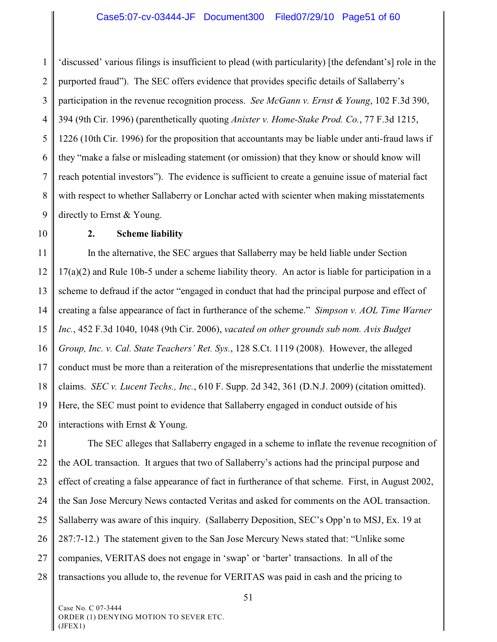1 2 3 4 5 6 7 8 9 'discussed' various filings is insufficient to plead (with particularity) [the defendant's] role in the purported fraud"). The SEC offers evidence that provides specific details of Sallaberry's participation in the revenue recognition process. *See McGann v. Ernst & Young*, 102 F.3d 390, 394 (9th Cir. 1996) (parenthetically quoting *Anixter v. Home-Stake Prod. Co.*, 77 F.3d 1215, 1226 (10th Cir. 1996) for the proposition that accountants may be liable under anti-fraud laws if they "make a false or misleading statement (or omission) that they know or should know will reach potential investors"). The evidence is sufficient to create a genuine issue of material fact with respect to whether Sallaberry or Lonchar acted with scienter when making misstatements directly to Ernst & Young.

10

#### **2. Scheme liability**

11 12 13 14 15 16 17 18 19 20 In the alternative, the SEC argues that Sallaberry may be held liable under Section 17(a)(2) and Rule 10b-5 under a scheme liability theory. An actor is liable for participation in a scheme to defraud if the actor "engaged in conduct that had the principal purpose and effect of creating a false appearance of fact in furtherance of the scheme." *Simpson v. AOL Time Warner Inc.*, 452 F.3d 1040, 1048 (9th Cir. 2006), *vacated on other grounds sub nom. Avis Budget Group, Inc. v. Cal. State Teachers' Ret. Sys.*, 128 S.Ct. 1119 (2008). However, the alleged conduct must be more than a reiteration of the misrepresentations that underlie the misstatement claims. *SEC v. Lucent Techs., Inc.*, 610 F. Supp. 2d 342, 361 (D.N.J. 2009) (citation omitted). Here, the SEC must point to evidence that Sallaberry engaged in conduct outside of his interactions with Ernst & Young.

21 22 23 24 25 26 27 28 The SEC alleges that Sallaberry engaged in a scheme to inflate the revenue recognition of the AOL transaction. It argues that two of Sallaberry's actions had the principal purpose and effect of creating a false appearance of fact in furtherance of that scheme. First, in August 2002, the San Jose Mercury News contacted Veritas and asked for comments on the AOL transaction. Sallaberry was aware of this inquiry. (Sallaberry Deposition, SEC's Opp'n to MSJ, Ex. 19 at 287:7-12.) The statement given to the San Jose Mercury News stated that: "Unlike some companies, VERITAS does not engage in 'swap' or 'barter' transactions. In all of the transactions you allude to, the revenue for VERITAS was paid in cash and the pricing to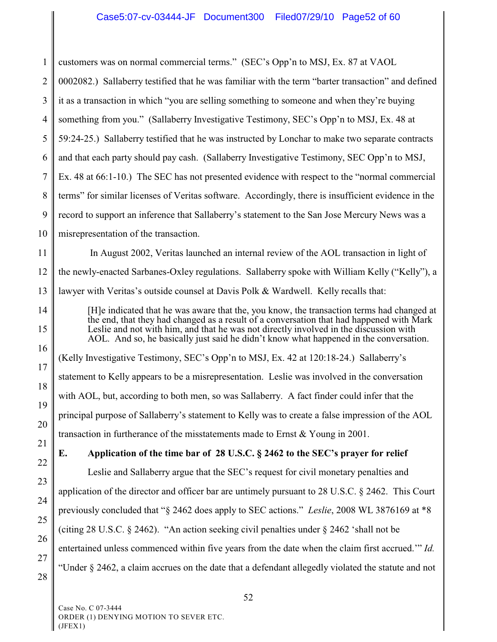1 2 3 4 5 6 7 8 9 10 11 12 13 14 15 16 17 18 19 20 21 22 23 24 25 26 27 28 customers was on normal commercial terms." (SEC's Opp'n to MSJ, Ex. 87 at VAOL 0002082.) Sallaberry testified that he was familiar with the term "barter transaction" and defined it as a transaction in which "you are selling something to someone and when they're buying something from you." (Sallaberry Investigative Testimony, SEC's Opp'n to MSJ, Ex. 48 at 59:24-25.) Sallaberry testified that he was instructed by Lonchar to make two separate contracts and that each party should pay cash. (Sallaberry Investigative Testimony, SEC Opp'n to MSJ, Ex. 48 at 66:1-10.) The SEC has not presented evidence with respect to the "normal commercial terms" for similar licenses of Veritas software. Accordingly, there is insufficient evidence in the record to support an inference that Sallaberry's statement to the San Jose Mercury News was a misrepresentation of the transaction. In August 2002, Veritas launched an internal review of the AOL transaction in light of the newly-enacted Sarbanes-Oxley regulations. Sallaberry spoke with William Kelly ("Kelly"), a lawyer with Veritas's outside counsel at Davis Polk & Wardwell. Kelly recalls that: [H]e indicated that he was aware that the, you know, the transaction terms had changed at the end, that they had changed as a result of a conversation that had happened with Mark Leslie and not with him, and that he was not directly involved in the discussion with AOL. And so, he basically just said he didn't know what happened in the conversation. (Kelly Investigative Testimony, SEC's Opp'n to MSJ, Ex. 42 at 120:18-24.) Sallaberry's statement to Kelly appears to be a misrepresentation. Leslie was involved in the conversation with AOL, but, according to both men, so was Sallaberry. A fact finder could infer that the principal purpose of Sallaberry's statement to Kelly was to create a false impression of the AOL transaction in furtherance of the misstatements made to Ernst & Young in 2001. **E. Application of the time bar of 28 U.S.C. § 2462 to the SEC's prayer for relief** Leslie and Sallaberry argue that the SEC's request for civil monetary penalties and application of the director and officer bar are untimely pursuant to 28 U.S.C. § 2462. This Court previously concluded that "§ 2462 does apply to SEC actions." *Leslie*, 2008 WL 3876169 at \*8 (citing 28 U.S.C. § 2462). "An action seeking civil penalties under § 2462 'shall not be entertained unless commenced within five years from the date when the claim first accrued.'" *Id.*  "Under § 2462, a claim accrues on the date that a defendant allegedly violated the statute and not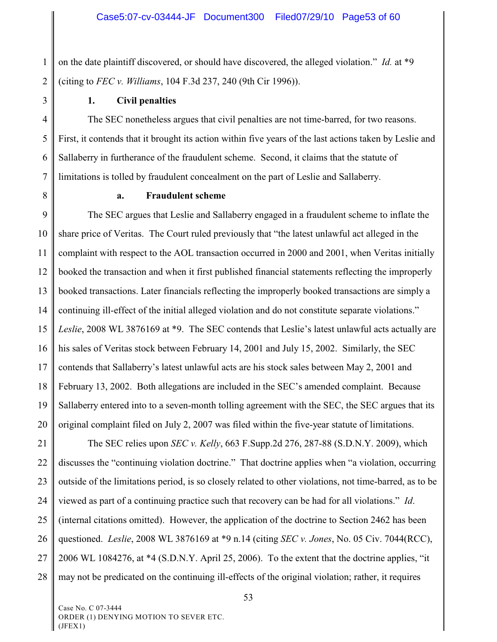1 2 on the date plaintiff discovered, or should have discovered, the alleged violation." *Id.* at \*9 (citing to *FEC v. Williams*, 104 F.3d 237, 240 (9th Cir 1996)).

3

#### **1. Civil penalties**

4 5 6 7 The SEC nonetheless argues that civil penalties are not time-barred, for two reasons. First, it contends that it brought its action within five years of the last actions taken by Leslie and Sallaberry in furtherance of the fraudulent scheme. Second, it claims that the statute of limitations is tolled by fraudulent concealment on the part of Leslie and Sallaberry.

8

#### **a. Fraudulent scheme**

9 10 11 12 13 14 15 16 17 18 19 20 The SEC argues that Leslie and Sallaberry engaged in a fraudulent scheme to inflate the share price of Veritas. The Court ruled previously that "the latest unlawful act alleged in the complaint with respect to the AOL transaction occurred in 2000 and 2001, when Veritas initially booked the transaction and when it first published financial statements reflecting the improperly booked transactions. Later financials reflecting the improperly booked transactions are simply a continuing ill-effect of the initial alleged violation and do not constitute separate violations." *Leslie*, 2008 WL 3876169 at \*9. The SEC contends that Leslie's latest unlawful acts actually are his sales of Veritas stock between February 14, 2001 and July 15, 2002. Similarly, the SEC contends that Sallaberry's latest unlawful acts are his stock sales between May 2, 2001 and February 13, 2002. Both allegations are included in the SEC's amended complaint. Because Sallaberry entered into to a seven-month tolling agreement with the SEC, the SEC argues that its original complaint filed on July 2, 2007 was filed within the five-year statute of limitations.

21 22 23 24 25 26 27 28 The SEC relies upon *SEC v. Kelly*, 663 F.Supp.2d 276, 287-88 (S.D.N.Y. 2009), which discusses the "continuing violation doctrine." That doctrine applies when "a violation, occurring outside of the limitations period, is so closely related to other violations, not time-barred, as to be viewed as part of a continuing practice such that recovery can be had for all violations." *Id*. (internal citations omitted). However, the application of the doctrine to Section 2462 has been questioned. *Leslie*, 2008 WL 3876169 at \*9 n.14 (citing *SEC v. Jones*, No. 05 Civ. 7044(RCC), 2006 WL 1084276, at \*4 (S.D.N.Y. April 25, 2006). To the extent that the doctrine applies, "it may not be predicated on the continuing ill-effects of the original violation; rather, it requires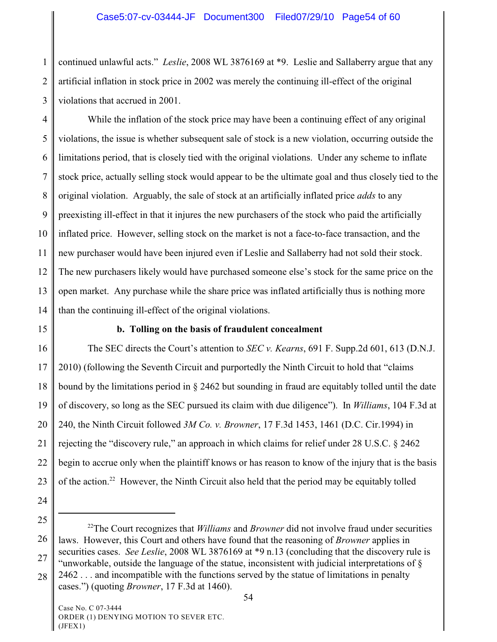1 2 3 continued unlawful acts." *Leslie*, 2008 WL 3876169 at \*9. Leslie and Sallaberry argue that any artificial inflation in stock price in 2002 was merely the continuing ill-effect of the original violations that accrued in 2001.

4 5 6 7 8 9 10 11 12 13 14 While the inflation of the stock price may have been a continuing effect of any original violations, the issue is whether subsequent sale of stock is a new violation, occurring outside the limitations period, that is closely tied with the original violations. Under any scheme to inflate stock price, actually selling stock would appear to be the ultimate goal and thus closely tied to the original violation. Arguably, the sale of stock at an artificially inflated price *adds* to any preexisting ill-effect in that it injures the new purchasers of the stock who paid the artificially inflated price. However, selling stock on the market is not a face-to-face transaction, and the new purchaser would have been injured even if Leslie and Sallaberry had not sold their stock. The new purchasers likely would have purchased someone else's stock for the same price on the open market. Any purchase while the share price was inflated artificially thus is nothing more than the continuing ill-effect of the original violations.

15

#### **b. Tolling on the basis of fraudulent concealment**

16 17 18 19 20 21 22 23 The SEC directs the Court's attention to *SEC v. Kearns*, 691 F. Supp.2d 601, 613 (D.N.J. 2010) (following the Seventh Circuit and purportedly the Ninth Circuit to hold that "claims bound by the limitations period in § 2462 but sounding in fraud are equitably tolled until the date of discovery, so long as the SEC pursued its claim with due diligence"). In *Williams*, 104 F.3d at 240, the Ninth Circuit followed *3M Co. v. Browner*, 17 F.3d 1453, 1461 (D.C. Cir.1994) in rejecting the "discovery rule," an approach in which claims for relief under 28 U.S.C. § 2462 begin to accrue only when the plaintiff knows or has reason to know of the injury that is the basis of the action.<sup>22</sup> However, the Ninth Circuit also held that the period may be equitably tolled

- 24
- 25

26

27

28 cases.") (quoting *Browner*, 17 F.3d at 1460).

<sup>&</sup>lt;sup>22</sup>The Court recognizes that *Williams* and *Browner* did not involve fraud under securities laws. However, this Court and others have found that the reasoning of *Browner* applies in securities cases. *See Leslie*, 2008 WL 3876169 at \*9 n.13 (concluding that the discovery rule is "unworkable, outside the language of the statue, inconsistent with judicial interpretations of  $\S$ 2462 . . . and incompatible with the functions served by the statue of limitations in penalty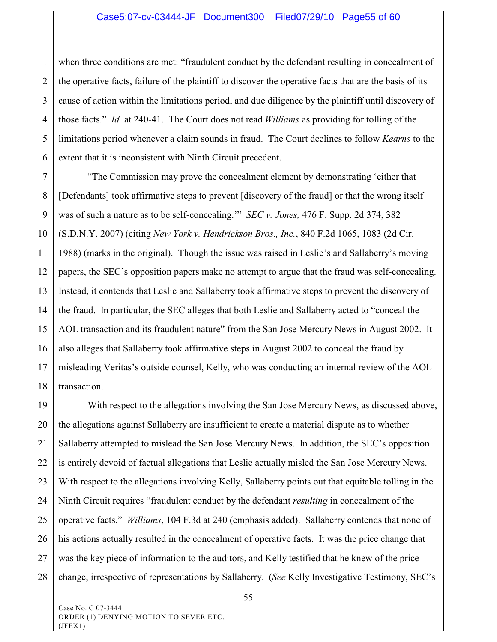1 2 3 4 5 6 when three conditions are met: "fraudulent conduct by the defendant resulting in concealment of the operative facts, failure of the plaintiff to discover the operative facts that are the basis of its cause of action within the limitations period, and due diligence by the plaintiff until discovery of those facts." *Id.* at 240-41. The Court does not read *Williams* as providing for tolling of the limitations period whenever a claim sounds in fraud. The Court declines to follow *Kearns* to the extent that it is inconsistent with Ninth Circuit precedent.

7 8 9 10 11 12 13 14 15 16 17 18 "The Commission may prove the concealment element by demonstrating 'either that [Defendants] took affirmative steps to prevent [discovery of the fraud] or that the wrong itself was of such a nature as to be self-concealing.'" *SEC v. Jones,* 476 F. Supp. 2d 374, 382 (S.D.N.Y. 2007) (citing *New York v. Hendrickson Bros., Inc.*, 840 F.2d 1065, 1083 (2d Cir. 1988) (marks in the original). Though the issue was raised in Leslie's and Sallaberry's moving papers, the SEC's opposition papers make no attempt to argue that the fraud was self-concealing. Instead, it contends that Leslie and Sallaberry took affirmative steps to prevent the discovery of the fraud. In particular, the SEC alleges that both Leslie and Sallaberry acted to "conceal the AOL transaction and its fraudulent nature" from the San Jose Mercury News in August 2002. It also alleges that Sallaberry took affirmative steps in August 2002 to conceal the fraud by misleading Veritas's outside counsel, Kelly, who was conducting an internal review of the AOL transaction.

19 20 21 22 23 24 25 26 27 28 With respect to the allegations involving the San Jose Mercury News, as discussed above, the allegations against Sallaberry are insufficient to create a material dispute as to whether Sallaberry attempted to mislead the San Jose Mercury News. In addition, the SEC's opposition is entirely devoid of factual allegations that Leslie actually misled the San Jose Mercury News. With respect to the allegations involving Kelly, Sallaberry points out that equitable tolling in the Ninth Circuit requires "fraudulent conduct by the defendant *resulting* in concealment of the operative facts." *Williams*, 104 F.3d at 240 (emphasis added). Sallaberry contends that none of his actions actually resulted in the concealment of operative facts. It was the price change that was the key piece of information to the auditors, and Kelly testified that he knew of the price change, irrespective of representations by Sallaberry. (*See* Kelly Investigative Testimony, SEC's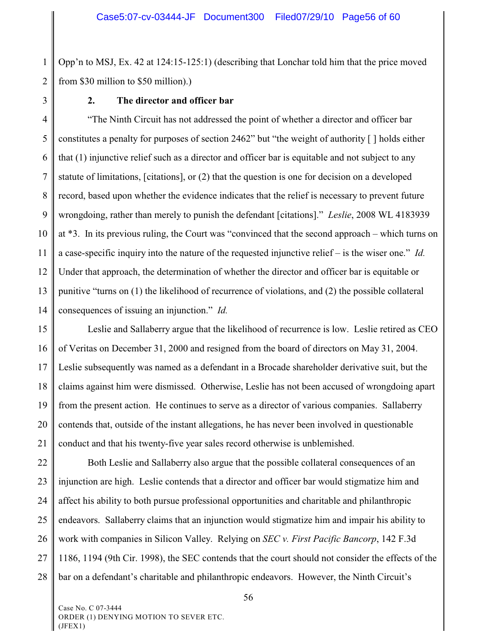1 2 Opp'n to MSJ, Ex. 42 at 124:15-125:1) (describing that Lonchar told him that the price moved from \$30 million to \$50 million).)

3

#### **2. The director and officer bar**

4 5 6 7 8 9 10 11 12 13 14 "The Ninth Circuit has not addressed the point of whether a director and officer bar constitutes a penalty for purposes of section 2462" but "the weight of authority [ ] holds either that (1) injunctive relief such as a director and officer bar is equitable and not subject to any statute of limitations, [citations], or (2) that the question is one for decision on a developed record, based upon whether the evidence indicates that the relief is necessary to prevent future wrongdoing, rather than merely to punish the defendant [citations]." *Leslie*, 2008 WL 4183939 at \*3. In its previous ruling, the Court was "convinced that the second approach – which turns on a case-specific inquiry into the nature of the requested injunctive relief – is the wiser one." *Id.* Under that approach, the determination of whether the director and officer bar is equitable or punitive "turns on (1) the likelihood of recurrence of violations, and (2) the possible collateral consequences of issuing an injunction." *Id.*

15 16 17 18 19 20 21 Leslie and Sallaberry argue that the likelihood of recurrence is low. Leslie retired as CEO of Veritas on December 31, 2000 and resigned from the board of directors on May 31, 2004. Leslie subsequently was named as a defendant in a Brocade shareholder derivative suit, but the claims against him were dismissed. Otherwise, Leslie has not been accused of wrongdoing apart from the present action. He continues to serve as a director of various companies. Sallaberry contends that, outside of the instant allegations, he has never been involved in questionable conduct and that his twenty-five year sales record otherwise is unblemished.

22 23 24 25 26 27 28 Both Leslie and Sallaberry also argue that the possible collateral consequences of an injunction are high. Leslie contends that a director and officer bar would stigmatize him and affect his ability to both pursue professional opportunities and charitable and philanthropic endeavors. Sallaberry claims that an injunction would stigmatize him and impair his ability to work with companies in Silicon Valley. Relying on *SEC v. First Pacific Bancorp*, 142 F.3d 1186, 1194 (9th Cir. 1998), the SEC contends that the court should not consider the effects of the bar on a defendant's charitable and philanthropic endeavors. However, the Ninth Circuit's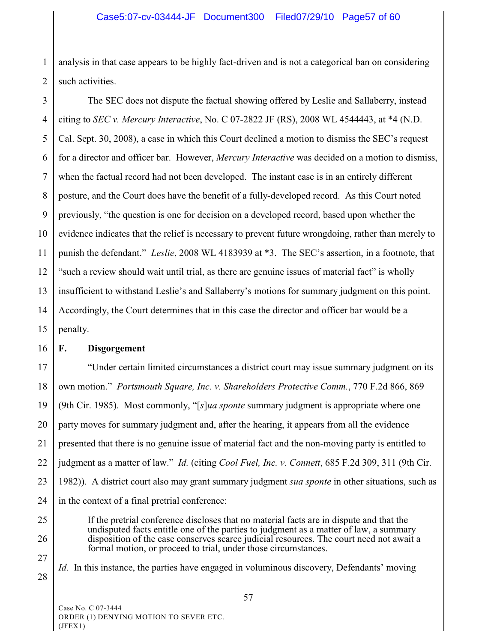1 2 analysis in that case appears to be highly fact-driven and is not a categorical ban on considering such activities.

3 4 5 6 7 8 9 10 11 12 13 14 15 The SEC does not dispute the factual showing offered by Leslie and Sallaberry, instead citing to *SEC v. Mercury Interactive*, No. C 07-2822 JF (RS), 2008 WL 4544443, at \*4 (N.D. Cal. Sept. 30, 2008), a case in which this Court declined a motion to dismiss the SEC's request for a director and officer bar. However, *Mercury Interactive* was decided on a motion to dismiss, when the factual record had not been developed. The instant case is in an entirely different posture, and the Court does have the benefit of a fully-developed record. As this Court noted previously, "the question is one for decision on a developed record, based upon whether the evidence indicates that the relief is necessary to prevent future wrongdoing, rather than merely to punish the defendant." *Leslie*, 2008 WL 4183939 at \*3. The SEC's assertion, in a footnote, that "such a review should wait until trial, as there are genuine issues of material fact" is wholly insufficient to withstand Leslie's and Sallaberry's motions for summary judgment on this point. Accordingly, the Court determines that in this case the director and officer bar would be a penalty.

#### 16 **F. Disgorgement**

17 18 19 20 21 22 23 24 "Under certain limited circumstances a district court may issue summary judgment on its own motion." *Portsmouth Square, Inc. v. Shareholders Protective Comm.*, 770 F.2d 866, 869 (9th Cir. 1985). Most commonly, "[*s*]*ua sponte* summary judgment is appropriate where one party moves for summary judgment and, after the hearing, it appears from all the evidence presented that there is no genuine issue of material fact and the non-moving party is entitled to judgment as a matter of law." *Id.* (citing *Cool Fuel, Inc. v. Connett*, 685 F.2d 309, 311 (9th Cir. 1982)). A district court also may grant summary judgment *sua sponte* in other situations, such as in the context of a final pretrial conference:

25 26

27

28

If the pretrial conference discloses that no material facts are in dispute and that the undisputed facts entitle one of the parties to judgment as a matter of law, a summary disposition of the case conserves scarce judicial resources. The court need not await a formal motion, or proceed to trial, under those circumstances.

*Id.* In this instance, the parties have engaged in voluminous discovery, Defendants' moving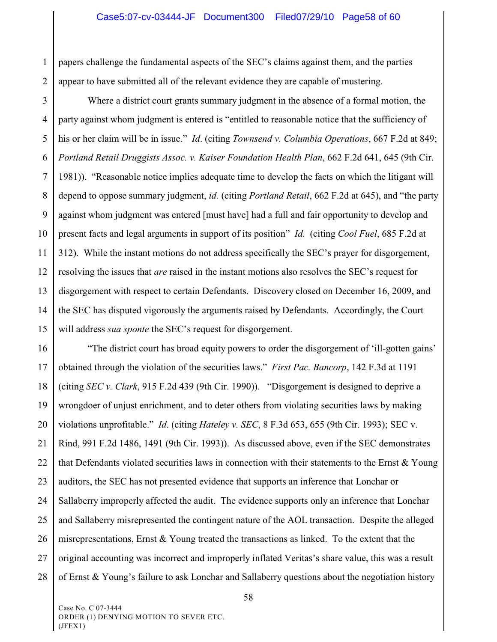1 2 papers challenge the fundamental aspects of the SEC's claims against them, and the parties appear to have submitted all of the relevant evidence they are capable of mustering.

3 4 5 6 7 8 9 10 11 12 13 14 15 Where a district court grants summary judgment in the absence of a formal motion, the party against whom judgment is entered is "entitled to reasonable notice that the sufficiency of his or her claim will be in issue." *Id*. (citing *Townsend v. Columbia Operations*, 667 F.2d at 849; *Portland Retail Druggists Assoc. v. Kaiser Foundation Health Plan*, 662 F.2d 641, 645 (9th Cir. 1981)). "Reasonable notice implies adequate time to develop the facts on which the litigant will depend to oppose summary judgment, *id.* (citing *Portland Retail*, 662 F.2d at 645), and "the party against whom judgment was entered [must have] had a full and fair opportunity to develop and present facts and legal arguments in support of its position" *Id.* (citing *Cool Fuel*, 685 F.2d at 312). While the instant motions do not address specifically the SEC's prayer for disgorgement, resolving the issues that *are* raised in the instant motions also resolves the SEC's request for disgorgement with respect to certain Defendants. Discovery closed on December 16, 2009, and the SEC has disputed vigorously the arguments raised by Defendants. Accordingly, the Court will address *sua sponte* the SEC's request for disgorgement.

16 17 18 19 20 21 22 23 24 25 26 27 28 "The district court has broad equity powers to order the disgorgement of 'ill-gotten gains' obtained through the violation of the securities laws." *First Pac. Bancorp*, 142 F.3d at 1191 (citing *SEC v. Clark*, 915 F.2d 439 (9th Cir. 1990)). "Disgorgement is designed to deprive a wrongdoer of unjust enrichment, and to deter others from violating securities laws by making violations unprofitable." *Id*. (citing *Hateley v. SEC*, 8 F.3d 653, 655 (9th Cir. 1993); SEC v. Rind, 991 F.2d 1486, 1491 (9th Cir. 1993)). As discussed above, even if the SEC demonstrates that Defendants violated securities laws in connection with their statements to the Ernst & Young auditors, the SEC has not presented evidence that supports an inference that Lonchar or Sallaberry improperly affected the audit. The evidence supports only an inference that Lonchar and Sallaberry misrepresented the contingent nature of the AOL transaction. Despite the alleged misrepresentations, Ernst & Young treated the transactions as linked. To the extent that the original accounting was incorrect and improperly inflated Veritas's share value, this was a result of Ernst & Young's failure to ask Lonchar and Sallaberry questions about the negotiation history

Case No. C 07-3444 ORDER (1) DENYING MOTION TO SEVER ETC. (JFEX1)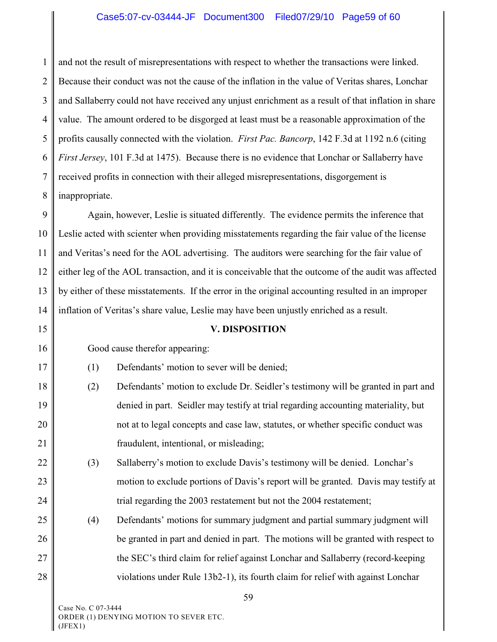# Case5:07-cv-03444-JF Document300 Filed07/29/10 Page59 of 60

1 2 3 4 5 6 7 8 and not the result of misrepresentations with respect to whether the transactions were linked. Because their conduct was not the cause of the inflation in the value of Veritas shares, Lonchar and Sallaberry could not have received any unjust enrichment as a result of that inflation in share value. The amount ordered to be disgorged at least must be a reasonable approximation of the profits causally connected with the violation. *First Pac. Bancorp*, 142 F.3d at 1192 n.6 (citing *First Jersey*, 101 F.3d at 1475). Because there is no evidence that Lonchar or Sallaberry have received profits in connection with their alleged misrepresentations, disgorgement is inappropriate.

9 10 11 12 13 14 Again, however, Leslie is situated differently. The evidence permits the inference that Leslie acted with scienter when providing misstatements regarding the fair value of the license and Veritas's need for the AOL advertising. The auditors were searching for the fair value of either leg of the AOL transaction, and it is conceivable that the outcome of the audit was affected by either of these misstatements. If the error in the original accounting resulted in an improper inflation of Veritas's share value, Leslie may have been unjustly enriched as a result.

#### 15

16

17

#### **V. DISPOSITION**

- Good cause therefor appearing:
- (1) Defendants' motion to sever will be denied;
- 18 19 20 21 (2) Defendants' motion to exclude Dr. Seidler's testimony will be granted in part and denied in part. Seidler may testify at trial regarding accounting materiality, but not at to legal concepts and case law, statutes, or whether specific conduct was fraudulent, intentional, or misleading;
- 22 23 24 (3) Sallaberry's motion to exclude Davis's testimony will be denied. Lonchar's motion to exclude portions of Davis's report will be granted. Davis may testify at trial regarding the 2003 restatement but not the 2004 restatement;
- 25 26 27 28 (4) Defendants' motions for summary judgment and partial summary judgment will be granted in part and denied in part. The motions will be granted with respect to the SEC's third claim for relief against Lonchar and Sallaberry (record-keeping violations under Rule 13b2-1), its fourth claim for relief with against Lonchar